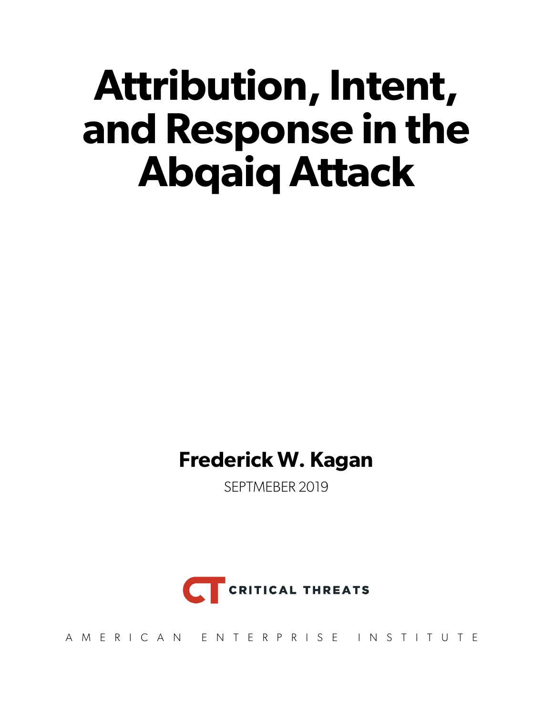# **Attribution, Intent, and Response in the Abqaiq Attack**

### **Frederick W. Kagan**

SEPTMEBER 2019



AMERICAN ENTERPRISE INSTITUTE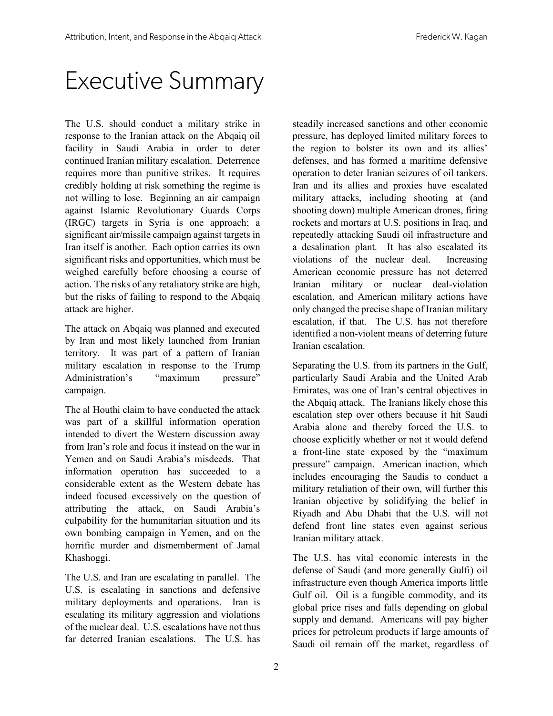### Executive Summary

The U.S. should conduct a military strike in response to the Iranian attack on the Abqaiq oil facility in Saudi Arabia in order to deter continued Iranian military escalation. Deterrence requires more than punitive strikes. It requires credibly holding at risk something the regime is not willing to lose. Beginning an air campaign against Islamic Revolutionary Guards Corps (IRGC) targets in Syria is one approach; a significant air/missile campaign against targets in Iran itself is another. Each option carries its own significant risks and opportunities, which must be weighed carefully before choosing a course of action. The risks of any retaliatory strike are high, but the risks of failing to respond to the Abqaiq attack are higher.

The attack on Abqaiq was planned and executed by Iran and most likely launched from Iranian territory. It was part of a pattern of Iranian military escalation in response to the Trump Administration's "maximum pressure" campaign.

The al Houthi claim to have conducted the attack was part of a skillful information operation intended to divert the Western discussion away from Iran's role and focus it instead on the war in Yemen and on Saudi Arabia's misdeeds. That information operation has succeeded to a considerable extent as the Western debate has indeed focused excessively on the question of attributing the attack, on Saudi Arabia's culpability for the humanitarian situation and its own bombing campaign in Yemen, and on the horrific murder and dismemberment of Jamal Khashoggi.

The U.S. and Iran are escalating in parallel. The U.S. is escalating in sanctions and defensive military deployments and operations. Iran is escalating its military aggression and violations of the nuclear deal. U.S. escalations have not thus far deterred Iranian escalations. The U.S. has

steadily increased sanctions and other economic pressure, has deployed limited military forces to the region to bolster its own and its allies' defenses, and has formed a maritime defensive operation to deter Iranian seizures of oil tankers. Iran and its allies and proxies have escalated military attacks, including shooting at (and shooting down) multiple American drones, firing rockets and mortars at U.S. positions in Iraq, and repeatedly attacking Saudi oil infrastructure and a desalination plant. It has also escalated its violations of the nuclear deal. Increasing American economic pressure has not deterred Iranian military or nuclear deal-violation escalation, and American military actions have only changed the precise shape of Iranian military escalation, if that. The U.S. has not therefore identified a non-violent means of deterring future Iranian escalation.

Separating the U.S. from its partners in the Gulf, particularly Saudi Arabia and the United Arab Emirates, was one of Iran's central objectives in the Abqaiq attack. The Iranians likely chose this escalation step over others because it hit Saudi Arabia alone and thereby forced the U.S. to choose explicitly whether or not it would defend a front-line state exposed by the "maximum pressure" campaign. American inaction, which includes encouraging the Saudis to conduct a military retaliation of their own, will further this Iranian objective by solidifying the belief in Riyadh and Abu Dhabi that the U.S. will not defend front line states even against serious Iranian military attack.

The U.S. has vital economic interests in the defense of Saudi (and more generally Gulfi) oil infrastructure even though America imports little Gulf oil. Oil is a fungible commodity, and its global price rises and falls depending on global supply and demand. Americans will pay higher prices for petroleum products if large amounts of Saudi oil remain off the market, regardless of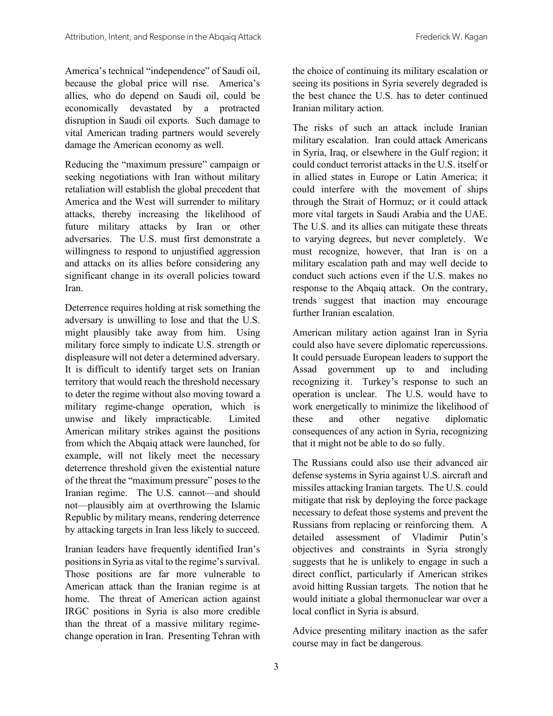America's technical "independence" of Saudi oil, because the global price will rise. America's allies, who do depend on Saudi oil, could be economically devastated by a protracted disruption in Saudi oil exports. Such damage to vital American trading partners would severely damage the American economy as well.

Reducing the "maximum pressure" campaign or seeking negotiations with Iran without military retaliation will establish the global precedent that America and the West will surrender to military attacks, thereby increasing the likelihood of future military attacks by Iran or other adversaries. The U.S. must first demonstrate a willingness to respond to unjustified aggression and attacks on its allies before considering any significant change in its overall policies toward Iran.

Deterrence requires holding at risk something the adversary is unwilling to lose and that the U.S. might plausibly take away from him. Using military force simply to indicate U.S. strength or displeasure will not deter a determined adversary. It is difficult to identify target sets on Iranian territory that would reach the threshold necessary to deter the regime without also moving toward a military regime-change operation, which is unwise and likely impracticable. Limited American military strikes against the positions from which the Abqaiq attack were launched, for example, will not likely meet the necessary deterrence threshold given the existential nature of the threat the "maximum pressure" poses to the Iranian regime. The U.S. cannot—and should not—plausibly aim at overthrowing the Islamic Republic by military means, rendering deterrence by attacking targets in Iran less likely to succeed.

Iranian leaders have frequently identified Iran's positions in Syria as vital to the regime's survival. Those positions are far more vulnerable to American attack than the Iranian regime is at home. The threat of American action against IRGC positions in Syria is also more credible than the threat of a massive military regimechange operation in Iran. Presenting Tehran with

the choice of continuing its military escalation or seeing its positions in Syria severely degraded is the best chance the U.S. has to deter continued Iranian military action.

The risks of such an attack include Iranian military escalation. Iran could attack Americans in Syria, Iraq, or elsewhere in the Gulf region; it could conduct terrorist attacks in the U.S. itself or in allied states in Europe or Latin America; it could interfere with the movement of ships through the Strait of Hormuz; or it could attack more vital targets in Saudi Arabia and the UAE. The U.S. and its allies can mitigate these threats to varying degrees, but never completely. We must recognize, however, that Iran is on a military escalation path and may well decide to conduct such actions even if the U.S. makes no response to the Abqaiq attack. On the contrary, trends suggest that inaction may encourage further Iranian escalation.

American military action against Iran in Syria could also have severe diplomatic repercussions. It could persuade European leaders to support the Assad government up to and including recognizing it. Turkey's response to such an operation is unclear. The U.S. would have to work energetically to minimize the likelihood of these and other negative diplomatic consequences of any action in Syria, recognizing that it might not be able to do so fully.

The Russians could also use their advanced air defense systems in Syria against U.S. aircraft and missiles attacking Iranian targets. The U.S. could mitigate that risk by deploying the force package necessary to defeat those systems and prevent the Russians from replacing or reinforcing them. A detailed assessment of Vladimir Putin's objectives and constraints in Syria strongly suggests that he is unlikely to engage in such a direct conflict, particularly if American strikes avoid hitting Russian targets. The notion that he would initiate a global thermonuclear war over a local conflict in Syria is absurd.

Advice presenting military inaction as the safer course may in fact be dangerous.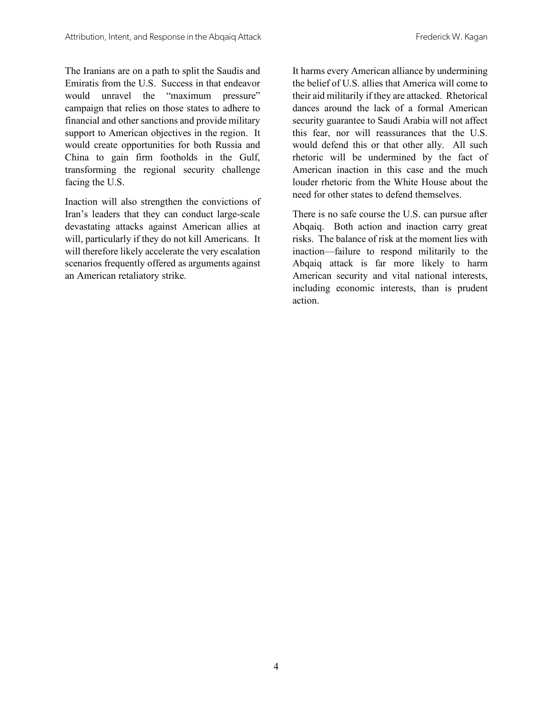The Iranians are on a path to split the Saudis and Emiratis from the U.S. Success in that endeavor would unravel the "maximum pressure" campaign that relies on those states to adhere to financial and other sanctions and provide military support to American objectives in the region. It would create opportunities for both Russia and China to gain firm footholds in the Gulf, transforming the regional security challenge facing the U.S.

Inaction will also strengthen the convictions of Iran's leaders that they can conduct large-scale devastating attacks against American allies at will, particularly if they do not kill Americans. It will therefore likely accelerate the very escalation scenarios frequently offered as arguments against an American retaliatory strike.

It harms every American alliance by undermining the belief of U.S. allies that America will come to their aid militarily if they are attacked. Rhetorical dances around the lack of a formal American security guarantee to Saudi Arabia will not affect this fear, nor will reassurances that the U.S. would defend this or that other ally. All such rhetoric will be undermined by the fact of American inaction in this case and the much louder rhetoric from the White House about the need for other states to defend themselves.

There is no safe course the U.S. can pursue after Abqaiq. Both action and inaction carry great risks. The balance of risk at the moment lies with inaction—failure to respond militarily to the Abqaiq attack is far more likely to harm American security and vital national interests, including economic interests, than is prudent action.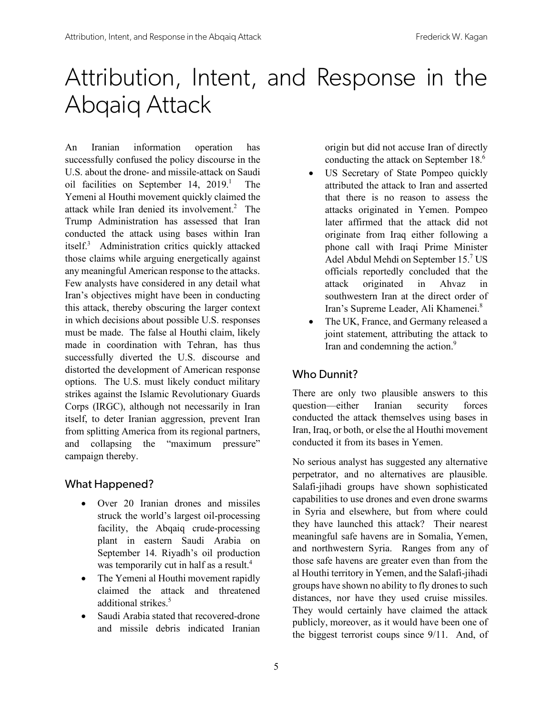### Attribution, Intent, and Response in the Abqaiq Attack

An Iranian information operation has successfully confused the policy discourse in the U.S. about the drone- and missile-attack on Saudi oil facilities on September 14, 2019. 1 The Yemeni al Houthi movement quickly claimed the attack while Iran denied its involvement. 2 The Trump Administration has assessed that Iran conducted the attack using bases within Iran itself. 3 Administration critics quickly attacked those claims while arguing energetically against any meaningful American response to the attacks. Few analysts have considered in any detail what Iran's objectives might have been in conducting this attack, thereby obscuring the larger context in which decisions about possible U.S. responses must be made. The false al Houthi claim, likely made in coordination with Tehran, has thus successfully diverted the U.S. discourse and distorted the development of American response options. The U.S. must likely conduct military strikes against the Islamic Revolutionary Guards Corps (IRGC), although not necessarily in Iran itself, to deter Iranian aggression, prevent Iran from splitting America from its regional partners, and collapsing the "maximum pressure" campaign thereby.

#### What Happened?

- Over 20 Iranian drones and missiles struck the world's largest oil-processing facility, the Abqaiq crude-processing plant in eastern Saudi Arabia on September 14. Riyadh's oil production was temporarily cut in half as a result.<sup>4</sup>
- The Yemeni al Houthi movement rapidly claimed the attack and threatened additional strikes.<sup>5</sup>
- Saudi Arabia stated that recovered-drone and missile debris indicated Iranian

origin but did not accuse Iran of directly conducting the attack on September 18. 6

- US Secretary of State Pompeo quickly attributed the attack to Iran and asserted that there is no reason to assess the attacks originated in Yemen. Pompeo later affirmed that the attack did not originate from Iraq either following a phone call with Iraqi Prime Minister Adel Abdul Mehdi on September 15. <sup>7</sup> US officials reportedly concluded that the attack originated in Ahvaz in southwestern Iran at the direct order of Iran's Supreme Leader, Ali Khamenei.8
- The UK, France, and Germany released a joint statement, attributing the attack to Iran and condemning the action.<sup>9</sup>

#### Who Dunnit?

There are only two plausible answers to this question—either Iranian security forces conducted the attack themselves using bases in Iran, Iraq, or both, or else the al Houthi movement conducted it from its bases in Yemen.

No serious analyst has suggested any alternative perpetrator, and no alternatives are plausible. Salafi-jihadi groups have shown sophisticated capabilities to use drones and even drone swarms in Syria and elsewhere, but from where could they have launched this attack? Their nearest meaningful safe havens are in Somalia, Yemen, and northwestern Syria. Ranges from any of those safe havens are greater even than from the al Houthi territory in Yemen, and the Salafi-jihadi groups have shown no ability to fly drones to such distances, nor have they used cruise missiles. They would certainly have claimed the attack publicly, moreover, as it would have been one of the biggest terrorist coups since 9/11. And, of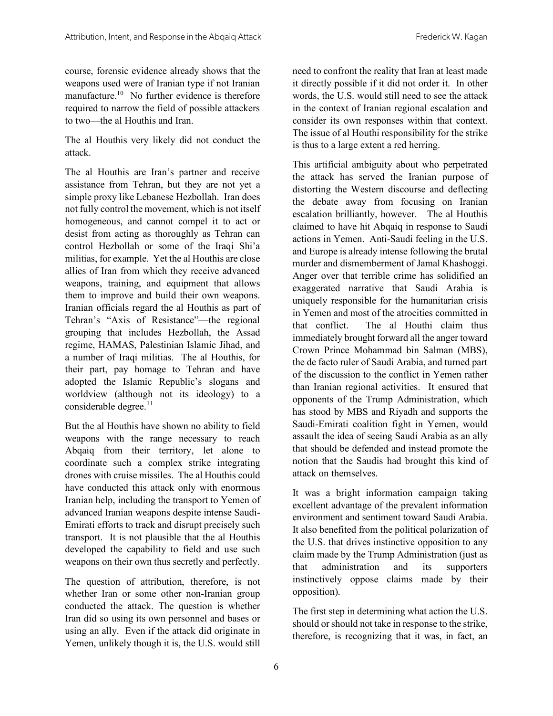course, forensic evidence already shows that the weapons used were of Iranian type if not Iranian manufacture. 10 No further evidence is therefore required to narrow the field of possible attackers to two—the al Houthis and Iran.

The al Houthis very likely did not conduct the attack.

The al Houthis are Iran's partner and receive assistance from Tehran, but they are not yet a simple proxy like Lebanese Hezbollah. Iran does not fully control the movement, which is not itself homogeneous, and cannot compel it to act or desist from acting as thoroughly as Tehran can control Hezbollah or some of the Iraqi Shi'a militias, for example. Yet the al Houthis are close allies of Iran from which they receive advanced weapons, training, and equipment that allows them to improve and build their own weapons. Iranian officials regard the al Houthis as part of Tehran's "Axis of Resistance"—the regional grouping that includes Hezbollah, the Assad regime, HAMAS, Palestinian Islamic Jihad, and a number of Iraqi militias. The al Houthis, for their part, pay homage to Tehran and have adopted the Islamic Republic's slogans and worldview (although not its ideology) to a considerable degree. 11

But the al Houthis have shown no ability to field weapons with the range necessary to reach Abqaiq from their territory, let alone to coordinate such a complex strike integrating drones with cruise missiles. The al Houthis could have conducted this attack only with enormous Iranian help, including the transport to Yemen of advanced Iranian weapons despite intense Saudi-Emirati efforts to track and disrupt precisely such transport. It is not plausible that the al Houthis developed the capability to field and use such weapons on their own thus secretly and perfectly.

The question of attribution, therefore, is not whether Iran or some other non-Iranian group conducted the attack. The question is whether Iran did so using its own personnel and bases or using an ally. Even if the attack did originate in Yemen, unlikely though it is, the U.S. would still

need to confront the reality that Iran at least made it directly possible if it did not order it. In other words, the U.S. would still need to see the attack in the context of Iranian regional escalation and consider its own responses within that context. The issue of al Houthi responsibility for the strike is thus to a large extent a red herring.

This artificial ambiguity about who perpetrated the attack has served the Iranian purpose of distorting the Western discourse and deflecting the debate away from focusing on Iranian escalation brilliantly, however. The al Houthis claimed to have hit Abqaiq in response to Saudi actions in Yemen. Anti-Saudi feeling in the U.S. and Europe is already intense following the brutal murder and dismemberment of Jamal Khashoggi. Anger over that terrible crime has solidified an exaggerated narrative that Saudi Arabia is uniquely responsible for the humanitarian crisis in Yemen and most of the atrocities committed in that conflict. The al Houthi claim thus immediately brought forward all the anger toward Crown Prince Mohammad bin Salman (MBS), the de facto ruler of Saudi Arabia, and turned part of the discussion to the conflict in Yemen rather than Iranian regional activities. It ensured that opponents of the Trump Administration, which has stood by MBS and Riyadh and supports the Saudi-Emirati coalition fight in Yemen, would assault the idea of seeing Saudi Arabia as an ally that should be defended and instead promote the notion that the Saudis had brought this kind of attack on themselves.

It was a bright information campaign taking excellent advantage of the prevalent information environment and sentiment toward Saudi Arabia. It also benefited from the political polarization of the U.S. that drives instinctive opposition to any claim made by the Trump Administration (just as that administration and its supporters instinctively oppose claims made by their opposition).

The first step in determining what action the U.S. should or should not take in response to the strike, therefore, is recognizing that it was, in fact, an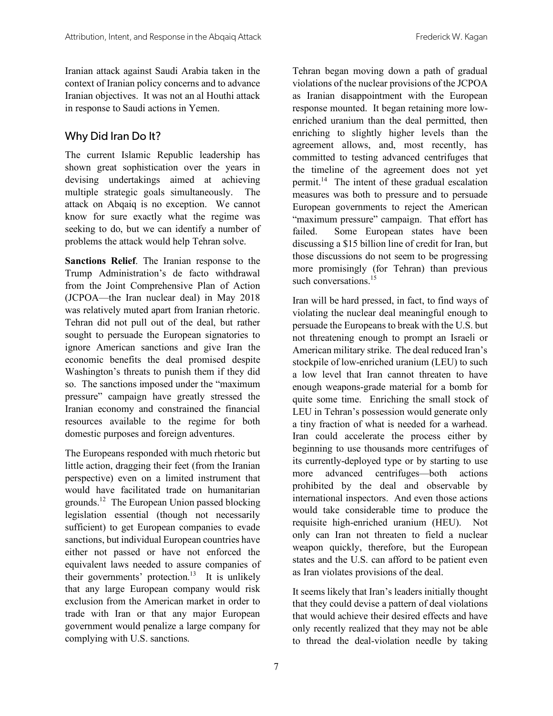Iranian attack against Saudi Arabia taken in the context of Iranian policy concerns and to advance Iranian objectives. It was not an al Houthi attack in response to Saudi actions in Yemen.

#### Why Did Iran Do It?

The current Islamic Republic leadership has shown great sophistication over the years in devising undertakings aimed at achieving multiple strategic goals simultaneously. The attack on Abqaiq is no exception. We cannot know for sure exactly what the regime was seeking to do, but we can identify a number of problems the attack would help Tehran solve.

**Sanctions Relief**. The Iranian response to the Trump Administration's de facto withdrawal from the Joint Comprehensive Plan of Action (JCPOA—the Iran nuclear deal) in May 2018 was relatively muted apart from Iranian rhetoric. Tehran did not pull out of the deal, but rather sought to persuade the European signatories to ignore American sanctions and give Iran the economic benefits the deal promised despite Washington's threats to punish them if they did so. The sanctions imposed under the "maximum pressure" campaign have greatly stressed the Iranian economy and constrained the financial resources available to the regime for both domestic purposes and foreign adventures.

The Europeans responded with much rhetoric but little action, dragging their feet (from the Iranian perspective) even on a limited instrument that would have facilitated trade on humanitarian grounds. 12 The European Union passed blocking legislation essential (though not necessarily sufficient) to get European companies to evade sanctions, but individual European countries have either not passed or have not enforced the equivalent laws needed to assure companies of their governments' protection. 13 It is unlikely that any large European company would risk exclusion from the American market in order to trade with Iran or that any major European government would penalize a large company for complying with U.S. sanctions.

Tehran began moving down a path of gradual violations of the nuclear provisions of the JCPOA as Iranian disappointment with the European response mounted. It began retaining more lowenriched uranium than the deal permitted, then enriching to slightly higher levels than the agreement allows, and, most recently, has committed to testing advanced centrifuges that the timeline of the agreement does not yet permit. 14 The intent of these gradual escalation measures was both to pressure and to persuade European governments to reject the American "maximum pressure" campaign. That effort has failed. Some European states have been discussing a \$15 billion line of credit for Iran, but those discussions do not seem to be progressing more promisingly (for Tehran) than previous such conversations.<sup>15</sup>

Iran will be hard pressed, in fact, to find ways of violating the nuclear deal meaningful enough to persuade the Europeans to break with the U.S. but not threatening enough to prompt an Israeli or American military strike. The deal reduced Iran's stockpile of low-enriched uranium (LEU) to such a low level that Iran cannot threaten to have enough weapons-grade material for a bomb for quite some time. Enriching the small stock of LEU in Tehran's possession would generate only a tiny fraction of what is needed for a warhead. Iran could accelerate the process either by beginning to use thousands more centrifuges of its currently-deployed type or by starting to use more advanced centrifuges—both actions prohibited by the deal and observable by international inspectors. And even those actions would take considerable time to produce the requisite high-enriched uranium (HEU). Not only can Iran not threaten to field a nuclear weapon quickly, therefore, but the European states and the U.S. can afford to be patient even as Iran violates provisions of the deal.

It seems likely that Iran's leaders initially thought that they could devise a pattern of deal violations that would achieve their desired effects and have only recently realized that they may not be able to thread the deal-violation needle by taking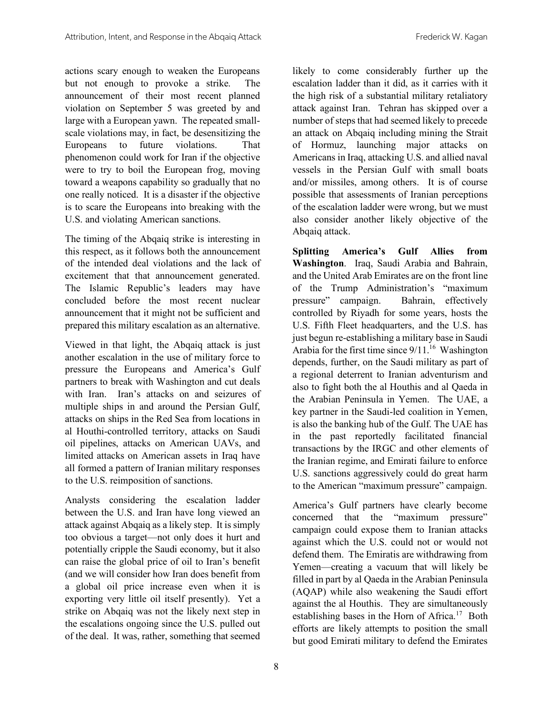actions scary enough to weaken the Europeans but not enough to provoke a strike. The announcement of their most recent planned violation on September 5 was greeted by and large with a European yawn. The repeated smallscale violations may, in fact, be desensitizing the Europeans to future violations. That phenomenon could work for Iran if the objective were to try to boil the European frog, moving toward a weapons capability so gradually that no one really noticed. It is a disaster if the objective is to scare the Europeans into breaking with the U.S. and violating American sanctions.

The timing of the Abqaiq strike is interesting in this respect, as it follows both the announcement of the intended deal violations and the lack of excitement that that announcement generated. The Islamic Republic's leaders may have concluded before the most recent nuclear announcement that it might not be sufficient and prepared this military escalation as an alternative.

Viewed in that light, the Abqaiq attack is just another escalation in the use of military force to pressure the Europeans and America's Gulf partners to break with Washington and cut deals with Iran. Iran's attacks on and seizures of multiple ships in and around the Persian Gulf, attacks on ships in the Red Sea from locations in al Houthi-controlled territory, attacks on Saudi oil pipelines, attacks on American UAVs, and limited attacks on American assets in Iraq have all formed a pattern of Iranian military responses to the U.S. reimposition of sanctions.

Analysts considering the escalation ladder between the U.S. and Iran have long viewed an attack against Abqaiq as a likely step. It is simply too obvious a target—not only does it hurt and potentially cripple the Saudi economy, but it also can raise the global price of oil to Iran's benefit (and we will consider how Iran does benefit from a global oil price increase even when it is exporting very little oil itself presently). Yet a strike on Abqaiq was not the likely next step in the escalations ongoing since the U.S. pulled out of the deal. It was, rather, something that seemed

likely to come considerably further up the escalation ladder than it did, as it carries with it the high risk of a substantial military retaliatory attack against Iran. Tehran has skipped over a number of steps that had seemed likely to precede an attack on Abqaiq including mining the Strait of Hormuz, launching major attacks on Americans in Iraq, attacking U.S. and allied naval vessels in the Persian Gulf with small boats and/or missiles, among others. It is of course possible that assessments of Iranian perceptions of the escalation ladder were wrong, but we must also consider another likely objective of the Abqaiq attack.

**Splitting America's Gulf Allies from Washington**. Iraq, Saudi Arabia and Bahrain, and the United Arab Emirates are on the front line of the Trump Administration's "maximum pressure" campaign. Bahrain, effectively controlled by Riyadh for some years, hosts the U.S. Fifth Fleet headquarters, and the U.S. has just begun re-establishing a military base in Saudi Arabia for the first time since  $9/11$ <sup>16</sup> Washington depends, further, on the Saudi military as part of a regional deterrent to Iranian adventurism and also to fight both the al Houthis and al Qaeda in the Arabian Peninsula in Yemen. The UAE, a key partner in the Saudi-led coalition in Yemen, is also the banking hub of the Gulf. The UAE has in the past reportedly facilitated financial transactions by the IRGC and other elements of the Iranian regime, and Emirati failure to enforce U.S. sanctions aggressively could do great harm to the American "maximum pressure" campaign.

America's Gulf partners have clearly become concerned that the "maximum pressure" campaign could expose them to Iranian attacks against which the U.S. could not or would not defend them. The Emiratis are withdrawing from Yemen—creating a vacuum that will likely be filled in part by al Qaeda in the Arabian Peninsula (AQAP) while also weakening the Saudi effort against the al Houthis. They are simultaneously establishing bases in the Horn of Africa.<sup>17</sup> Both efforts are likely attempts to position the small but good Emirati military to defend the Emirates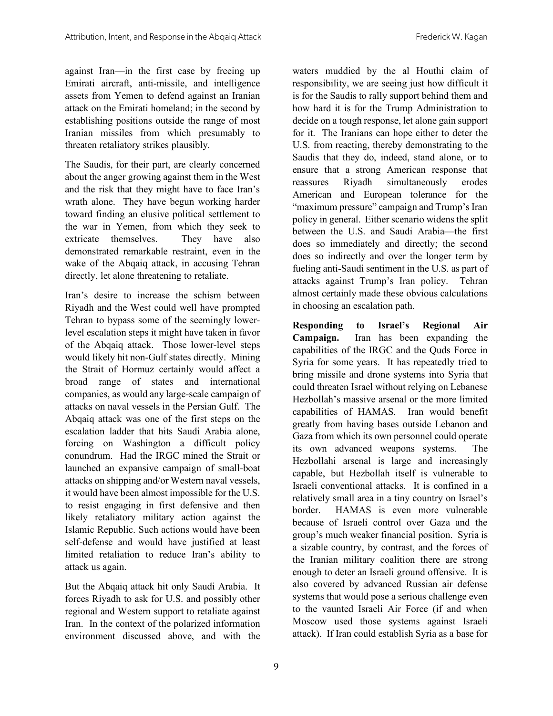against Iran—in the first case by freeing up Emirati aircraft, anti-missile, and intelligence assets from Yemen to defend against an Iranian attack on the Emirati homeland; in the second by establishing positions outside the range of most Iranian missiles from which presumably to threaten retaliatory strikes plausibly.

The Saudis, for their part, are clearly concerned about the anger growing against them in the West and the risk that they might have to face Iran's wrath alone. They have begun working harder toward finding an elusive political settlement to the war in Yemen, from which they seek to extricate themselves. They have also demonstrated remarkable restraint, even in the wake of the Abqaiq attack, in accusing Tehran directly, let alone threatening to retaliate.

Iran's desire to increase the schism between Riyadh and the West could well have prompted Tehran to bypass some of the seemingly lowerlevel escalation steps it might have taken in favor of the Abqaiq attack. Those lower-level steps would likely hit non-Gulf states directly. Mining the Strait of Hormuz certainly would affect a broad range of states and international companies, as would any large-scale campaign of attacks on naval vessels in the Persian Gulf. The Abqaiq attack was one of the first steps on the escalation ladder that hits Saudi Arabia alone, forcing on Washington a difficult policy conundrum. Had the IRGC mined the Strait or launched an expansive campaign of small-boat attacks on shipping and/or Western naval vessels, it would have been almost impossible for the U.S. to resist engaging in first defensive and then likely retaliatory military action against the Islamic Republic. Such actions would have been self-defense and would have justified at least limited retaliation to reduce Iran's ability to attack us again.

But the Abqaiq attack hit only Saudi Arabia. It forces Riyadh to ask for U.S. and possibly other regional and Western support to retaliate against Iran. In the context of the polarized information environment discussed above, and with the waters muddied by the al Houthi claim of responsibility, we are seeing just how difficult it is for the Saudis to rally support behind them and how hard it is for the Trump Administration to decide on a tough response, let alone gain support for it. The Iranians can hope either to deter the U.S. from reacting, thereby demonstrating to the Saudis that they do, indeed, stand alone, or to ensure that a strong American response that reassures Riyadh simultaneously erodes American and European tolerance for the "maximum pressure" campaign and Trump's Iran policy in general. Either scenario widens the split between the U.S. and Saudi Arabia—the first does so immediately and directly; the second does so indirectly and over the longer term by fueling anti-Saudi sentiment in the U.S. as part of attacks against Trump's Iran policy. Tehran almost certainly made these obvious calculations in choosing an escalation path.

**Responding to Israel's Regional Air Campaign.** Iran has been expanding the capabilities of the IRGC and the Quds Force in Syria for some years. It has repeatedly tried to bring missile and drone systems into Syria that could threaten Israel without relying on Lebanese Hezbollah's massive arsenal or the more limited capabilities of HAMAS. Iran would benefit greatly from having bases outside Lebanon and Gaza from which its own personnel could operate its own advanced weapons systems. The Hezbollahi arsenal is large and increasingly capable, but Hezbollah itself is vulnerable to Israeli conventional attacks. It is confined in a relatively small area in a tiny country on Israel's border. HAMAS is even more vulnerable because of Israeli control over Gaza and the group's much weaker financial position. Syria is a sizable country, by contrast, and the forces of the Iranian military coalition there are strong enough to deter an Israeli ground offensive. It is also covered by advanced Russian air defense systems that would pose a serious challenge even to the vaunted Israeli Air Force (if and when Moscow used those systems against Israeli attack). If Iran could establish Syria as a base for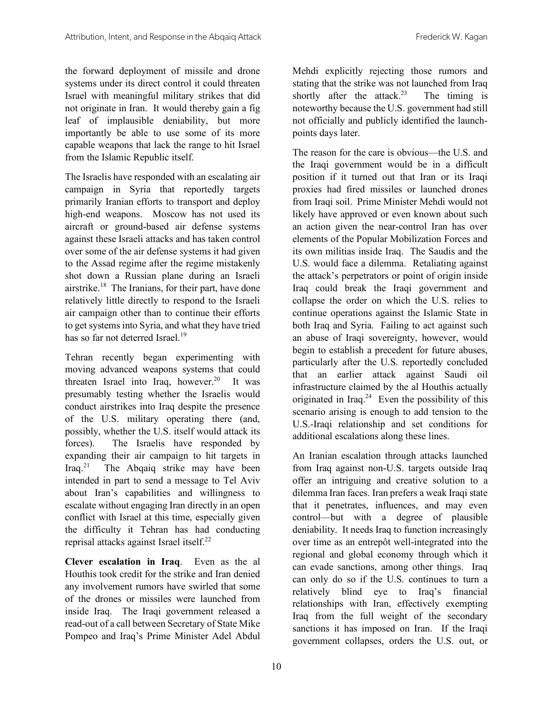the forward deployment of missile and drone systems under its direct control it could threaten Israel with meaningful military strikes that did not originate in Iran. It would thereby gain a fig leaf of implausible deniability, but more importantly be able to use some of its more capable weapons that lack the range to hit Israel from the Islamic Republic itself.

The Israelis have responded with an escalating air campaign in Syria that reportedly targets primarily Iranian efforts to transport and deploy high-end weapons. Moscow has not used its aircraft or ground-based air defense systems against these Israeli attacks and has taken control over some of the air defense systems it had given to the Assad regime after the regime mistakenly shot down a Russian plane during an Israeli airstrike.<sup>18</sup> The Iranians, for their part, have done relatively little directly to respond to the Israeli air campaign other than to continue their efforts to get systems into Syria, and what they have tried has so far not deterred Israel.<sup>19</sup>

Tehran recently began experimenting with moving advanced weapons systems that could threaten Israel into Iraq, however. 20 It was presumably testing whether the Israelis would conduct airstrikes into Iraq despite the presence of the U.S. military operating there (and, possibly, whether the U.S. itself would attack its forces). The Israelis have responded by expanding their air campaign to hit targets in  $\text{Iraq.}^{21}$ The Abgaig strike may have been intended in part to send a message to Tel Aviv about Iran's capabilities and willingness to escalate without engaging Iran directly in an open conflict with Israel at this time, especially given the difficulty it Tehran has had conducting reprisal attacks against Israel itself.<sup>22</sup>

**Clever escalation in Iraq**. Even as the al Houthis took credit for the strike and Iran denied any involvement rumors have swirled that some of the drones or missiles were launched from inside Iraq. The Iraqi government released a read-out of a call between Secretary of State Mike Pompeo and Iraq's Prime Minister Adel Abdul

Mehdi explicitly rejecting those rumors and stating that the strike was not launched from Iraq shortly after the attack.<sup>23</sup> The timing is noteworthy because the U.S. government had still not officially and publicly identified the launchpoints days later.

The reason for the care is obvious—the U.S. and the Iraqi government would be in a difficult position if it turned out that Iran or its Iraqi proxies had fired missiles or launched drones from Iraqi soil. Prime Minister Mehdi would not likely have approved or even known about such an action given the near-control Iran has over elements of the Popular Mobilization Forces and its own militias inside Iraq. The Saudis and the U.S. would face a dilemma. Retaliating against the attack's perpetrators or point of origin inside Iraq could break the Iraqi government and collapse the order on which the U.S. relies to continue operations against the Islamic State in both Iraq and Syria. Failing to act against such an abuse of Iraqi sovereignty, however, would begin to establish a precedent for future abuses, particularly after the U.S. reportedly concluded that an earlier attack against Saudi oil infrastructure claimed by the al Houthis actually originated in Iraq. $24$  Even the possibility of this scenario arising is enough to add tension to the U.S.-Iraqi relationship and set conditions for additional escalations along these lines.

An Iranian escalation through attacks launched from Iraq against non-U.S. targets outside Iraq offer an intriguing and creative solution to a dilemma Iran faces. Iran prefers a weak Iraqi state that it penetrates, influences, and may even control—but with a degree of plausible deniability. It needs Iraq to function increasingly over time as an entrepôt well-integrated into the regional and global economy through which it can evade sanctions, among other things. Iraq can only do so if the U.S. continues to turn a relatively blind eye to Iraq's financial relationships with Iran, effectively exempting Iraq from the full weight of the secondary sanctions it has imposed on Iran. If the Iraqi government collapses, orders the U.S. out, or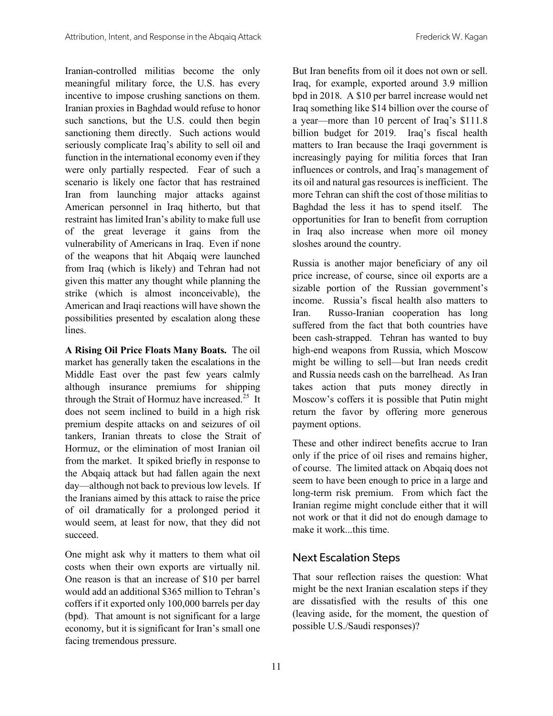Iranian-controlled militias become the only meaningful military force, the U.S. has every incentive to impose crushing sanctions on them. Iranian proxies in Baghdad would refuse to honor such sanctions, but the U.S. could then begin sanctioning them directly. Such actions would seriously complicate Iraq's ability to sell oil and function in the international economy even if they were only partially respected. Fear of such a scenario is likely one factor that has restrained Iran from launching major attacks against American personnel in Iraq hitherto, but that restraint has limited Iran's ability to make full use of the great leverage it gains from the vulnerability of Americans in Iraq. Even if none of the weapons that hit Abqaiq were launched from Iraq (which is likely) and Tehran had not given this matter any thought while planning the strike (which is almost inconceivable), the American and Iraqi reactions will have shown the possibilities presented by escalation along these lines.

**A Rising Oil Price Floats Many Boats.** The oil market has generally taken the escalations in the Middle East over the past few years calmly although insurance premiums for shipping through the Strait of Hormuz have increased. 25 It does not seem inclined to build in a high risk premium despite attacks on and seizures of oil tankers, Iranian threats to close the Strait of Hormuz, or the elimination of most Iranian oil from the market. It spiked briefly in response to the Abqaiq attack but had fallen again the next day—although not back to previous low levels. If the Iranians aimed by this attack to raise the price of oil dramatically for a prolonged period it would seem, at least for now, that they did not succeed.

One might ask why it matters to them what oil costs when their own exports are virtually nil. One reason is that an increase of \$10 per barrel would add an additional \$365 million to Tehran's coffers if it exported only 100,000 barrels per day (bpd). That amount is not significant for a large economy, but it is significant for Iran's small one facing tremendous pressure.

But Iran benefits from oil it does not own or sell. Iraq, for example, exported around 3.9 million bpd in 2018. A \$10 per barrel increase would net Iraq something like \$14 billion over the course of a year—more than 10 percent of Iraq's \$111.8 billion budget for 2019. Iraq's fiscal health matters to Iran because the Iraqi government is increasingly paying for militia forces that Iran influences or controls, and Iraq's management of its oil and natural gas resources is inefficient. The more Tehran can shift the cost of those militias to Baghdad the less it has to spend itself. The opportunities for Iran to benefit from corruption in Iraq also increase when more oil money sloshes around the country.

Russia is another major beneficiary of any oil price increase, of course, since oil exports are a sizable portion of the Russian government's income. Russia's fiscal health also matters to Iran. Russo-Iranian cooperation has long suffered from the fact that both countries have been cash-strapped. Tehran has wanted to buy high-end weapons from Russia, which Moscow might be willing to sell—but Iran needs credit and Russia needs cash on the barrelhead. As Iran takes action that puts money directly in Moscow's coffers it is possible that Putin might return the favor by offering more generous payment options.

These and other indirect benefits accrue to Iran only if the price of oil rises and remains higher, of course. The limited attack on Abqaiq does not seem to have been enough to price in a large and long-term risk premium. From which fact the Iranian regime might conclude either that it will not work or that it did not do enough damage to make it work...this time.

#### Next Escalation Steps

That sour reflection raises the question: What might be the next Iranian escalation steps if they are dissatisfied with the results of this one (leaving aside, for the moment, the question of possible U.S./Saudi responses)?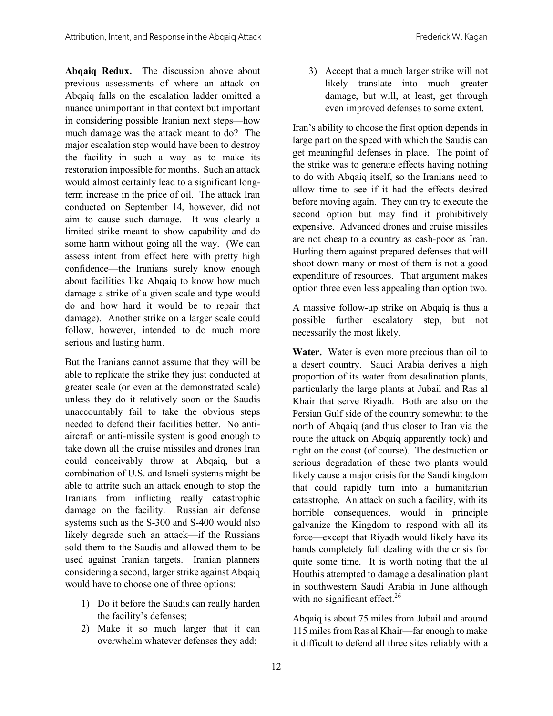**Abqaiq Redux.** The discussion above about previous assessments of where an attack on Abqaiq falls on the escalation ladder omitted a nuance unimportant in that context but important in considering possible Iranian next steps—how much damage was the attack meant to do? The major escalation step would have been to destroy the facility in such a way as to make its restoration impossible for months. Such an attack would almost certainly lead to a significant longterm increase in the price of oil. The attack Iran conducted on September 14, however, did not aim to cause such damage. It was clearly a limited strike meant to show capability and do some harm without going all the way. (We can assess intent from effect here with pretty high confidence—the Iranians surely know enough about facilities like Abqaiq to know how much damage a strike of a given scale and type would do and how hard it would be to repair that damage). Another strike on a larger scale could follow, however, intended to do much more serious and lasting harm.

But the Iranians cannot assume that they will be able to replicate the strike they just conducted at greater scale (or even at the demonstrated scale) unless they do it relatively soon or the Saudis unaccountably fail to take the obvious steps needed to defend their facilities better. No antiaircraft or anti-missile system is good enough to take down all the cruise missiles and drones Iran could conceivably throw at Abqaiq, but a combination of U.S. and Israeli systems might be able to attrite such an attack enough to stop the Iranians from inflicting really catastrophic damage on the facility. Russian air defense systems such as the S-300 and S-400 would also likely degrade such an attack—if the Russians sold them to the Saudis and allowed them to be used against Iranian targets. Iranian planners considering a second, larger strike against Abqaiq would have to choose one of three options:

- 1) Do it before the Saudis can really harden the facility's defenses;
- 2) Make it so much larger that it can overwhelm whatever defenses they add;

3) Accept that a much larger strike will not likely translate into much greater damage, but will, at least, get through even improved defenses to some extent.

Iran's ability to choose the first option depends in large part on the speed with which the Saudis can get meaningful defenses in place. The point of the strike was to generate effects having nothing to do with Abqaiq itself, so the Iranians need to allow time to see if it had the effects desired before moving again. They can try to execute the second option but may find it prohibitively expensive. Advanced drones and cruise missiles are not cheap to a country as cash-poor as Iran. Hurling them against prepared defenses that will shoot down many or most of them is not a good expenditure of resources. That argument makes option three even less appealing than option two.

A massive follow-up strike on Abqaiq is thus a possible further escalatory step, but not necessarily the most likely.

**Water.** Water is even more precious than oil to a desert country. Saudi Arabia derives a high proportion of its water from desalination plants, particularly the large plants at Jubail and Ras al Khair that serve Riyadh. Both are also on the Persian Gulf side of the country somewhat to the north of Abqaiq (and thus closer to Iran via the route the attack on Abqaiq apparently took) and right on the coast (of course). The destruction or serious degradation of these two plants would likely cause a major crisis for the Saudi kingdom that could rapidly turn into a humanitarian catastrophe. An attack on such a facility, with its horrible consequences, would in principle galvanize the Kingdom to respond with all its force—except that Riyadh would likely have its hands completely full dealing with the crisis for quite some time. It is worth noting that the al Houthis attempted to damage a desalination plant in southwestern Saudi Arabia in June although with no significant effect.<sup>26</sup>

Abqaiq is about 75 miles from Jubail and around 115 miles from Ras al Khair—far enough to make it difficult to defend all three sites reliably with a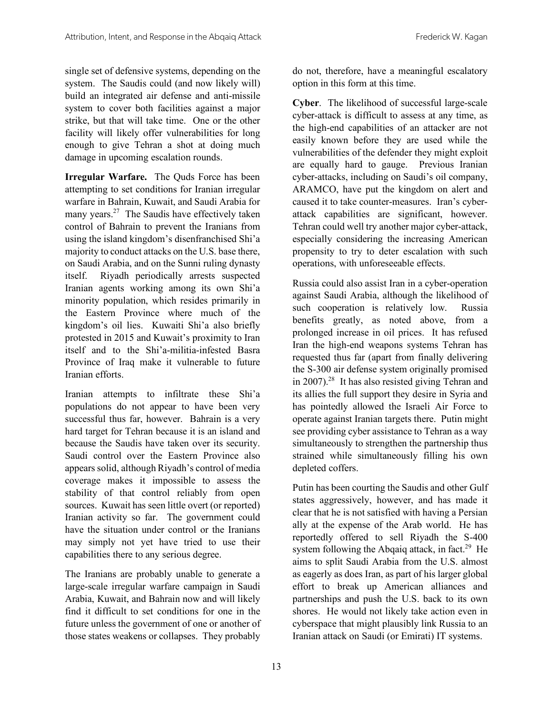single set of defensive systems, depending on the system. The Saudis could (and now likely will) build an integrated air defense and anti-missile system to cover both facilities against a major strike, but that will take time. One or the other facility will likely offer vulnerabilities for long enough to give Tehran a shot at doing much damage in upcoming escalation rounds.

**Irregular Warfare.** The Quds Force has been attempting to set conditions for Iranian irregular warfare in Bahrain, Kuwait, and Saudi Arabia for many years.<sup>27</sup> The Saudis have effectively taken control of Bahrain to prevent the Iranians from using the island kingdom's disenfranchised Shi'a majority to conduct attacks on the U.S. base there, on Saudi Arabia, and on the Sunni ruling dynasty itself. Riyadh periodically arrests suspected Iranian agents working among its own Shi'a minority population, which resides primarily in the Eastern Province where much of the kingdom's oil lies. Kuwaiti Shi'a also briefly protested in 2015 and Kuwait's proximity to Iran itself and to the Shi'a-militia-infested Basra Province of Iraq make it vulnerable to future Iranian efforts.

Iranian attempts to infiltrate these Shi'a populations do not appear to have been very successful thus far, however. Bahrain is a very hard target for Tehran because it is an island and because the Saudis have taken over its security. Saudi control over the Eastern Province also appears solid, although Riyadh's control of media coverage makes it impossible to assess the stability of that control reliably from open sources. Kuwait has seen little overt (or reported) Iranian activity so far. The government could have the situation under control or the Iranians may simply not yet have tried to use their capabilities there to any serious degree.

The Iranians are probably unable to generate a large-scale irregular warfare campaign in Saudi Arabia, Kuwait, and Bahrain now and will likely find it difficult to set conditions for one in the future unless the government of one or another of those states weakens or collapses. They probably

do not, therefore, have a meaningful escalatory option in this form at this time.

**Cyber**. The likelihood of successful large-scale cyber-attack is difficult to assess at any time, as the high-end capabilities of an attacker are not easily known before they are used while the vulnerabilities of the defender they might exploit are equally hard to gauge. Previous Iranian cyber-attacks, including on Saudi's oil company, ARAMCO, have put the kingdom on alert and caused it to take counter-measures. Iran's cyberattack capabilities are significant, however. Tehran could well try another major cyber-attack, especially considering the increasing American propensity to try to deter escalation with such operations, with unforeseeable effects.

Russia could also assist Iran in a cyber-operation against Saudi Arabia, although the likelihood of such cooperation is relatively low. Russia benefits greatly, as noted above, from a prolonged increase in oil prices. It has refused Iran the high-end weapons systems Tehran has requested thus far (apart from finally delivering the S-300 air defense system originally promised in 2007).<sup>28</sup> It has also resisted giving Tehran and its allies the full support they desire in Syria and has pointedly allowed the Israeli Air Force to operate against Iranian targets there. Putin might see providing cyber assistance to Tehran as a way simultaneously to strengthen the partnership thus strained while simultaneously filling his own depleted coffers.

Putin has been courting the Saudis and other Gulf states aggressively, however, and has made it clear that he is not satisfied with having a Persian ally at the expense of the Arab world. He has reportedly offered to sell Riyadh the S-400 system following the Abqaiq attack, in fact.<sup>29</sup> He aims to split Saudi Arabia from the U.S. almost as eagerly as does Iran, as part of his larger global effort to break up American alliances and partnerships and push the U.S. back to its own shores. He would not likely take action even in cyberspace that might plausibly link Russia to an Iranian attack on Saudi (or Emirati) IT systems.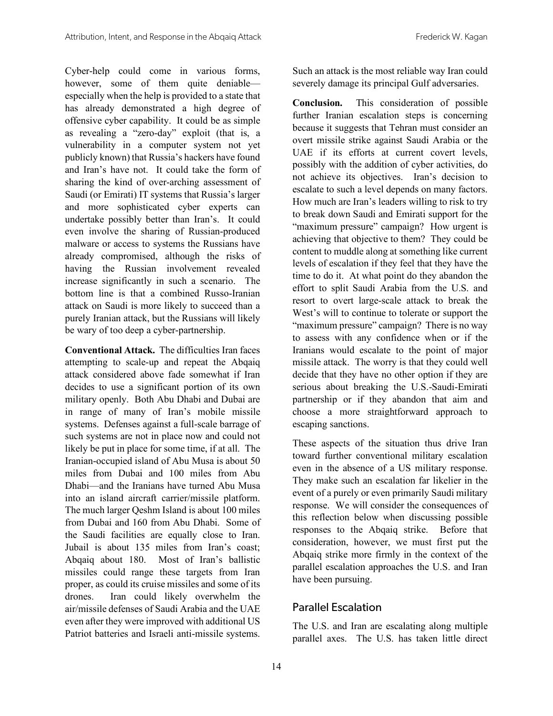Cyber-help could come in various forms, however, some of them quite deniable especially when the help is provided to a state that has already demonstrated a high degree of offensive cyber capability. It could be as simple as revealing a "zero-day" exploit (that is, a vulnerability in a computer system not yet publicly known) that Russia's hackers have found and Iran's have not. It could take the form of sharing the kind of over-arching assessment of Saudi (or Emirati) IT systems that Russia's larger and more sophisticated cyber experts can undertake possibly better than Iran's. It could even involve the sharing of Russian-produced malware or access to systems the Russians have already compromised, although the risks of having the Russian involvement revealed increase significantly in such a scenario. The bottom line is that a combined Russo-Iranian attack on Saudi is more likely to succeed than a purely Iranian attack, but the Russians will likely be wary of too deep a cyber-partnership.

**Conventional Attack.** The difficulties Iran faces attempting to scale-up and repeat the Abqaiq attack considered above fade somewhat if Iran decides to use a significant portion of its own military openly. Both Abu Dhabi and Dubai are in range of many of Iran's mobile missile systems. Defenses against a full-scale barrage of such systems are not in place now and could not likely be put in place for some time, if at all. The Iranian-occupied island of Abu Musa is about 50 miles from Dubai and 100 miles from Abu Dhabi—and the Iranians have turned Abu Musa into an island aircraft carrier/missile platform. The much larger Qeshm Island is about 100 miles from Dubai and 160 from Abu Dhabi. Some of the Saudi facilities are equally close to Iran. Jubail is about 135 miles from Iran's coast; Abqaiq about 180. Most of Iran's ballistic missiles could range these targets from Iran proper, as could its cruise missiles and some of its drones. Iran could likely overwhelm the air/missile defenses of Saudi Arabia and the UAE even after they were improved with additional US Patriot batteries and Israeli anti-missile systems.

Such an attack is the most reliable way Iran could severely damage its principal Gulf adversaries.

**Conclusion.** This consideration of possible further Iranian escalation steps is concerning because it suggests that Tehran must consider an overt missile strike against Saudi Arabia or the UAE if its efforts at current covert levels, possibly with the addition of cyber activities, do not achieve its objectives. Iran's decision to escalate to such a level depends on many factors. How much are Iran's leaders willing to risk to try to break down Saudi and Emirati support for the "maximum pressure" campaign? How urgent is achieving that objective to them? They could be content to muddle along at something like current levels of escalation if they feel that they have the time to do it. At what point do they abandon the effort to split Saudi Arabia from the U.S. and resort to overt large-scale attack to break the West's will to continue to tolerate or support the "maximum pressure" campaign? There is no way to assess with any confidence when or if the Iranians would escalate to the point of major missile attack. The worry is that they could well decide that they have no other option if they are serious about breaking the U.S.-Saudi-Emirati partnership or if they abandon that aim and choose a more straightforward approach to escaping sanctions.

These aspects of the situation thus drive Iran toward further conventional military escalation even in the absence of a US military response. They make such an escalation far likelier in the event of a purely or even primarily Saudi military response. We will consider the consequences of this reflection below when discussing possible responses to the Abqaiq strike. Before that consideration, however, we must first put the Abqaiq strike more firmly in the context of the parallel escalation approaches the U.S. and Iran have been pursuing.

#### Parallel Escalation

The U.S. and Iran are escalating along multiple parallel axes. The U.S. has taken little direct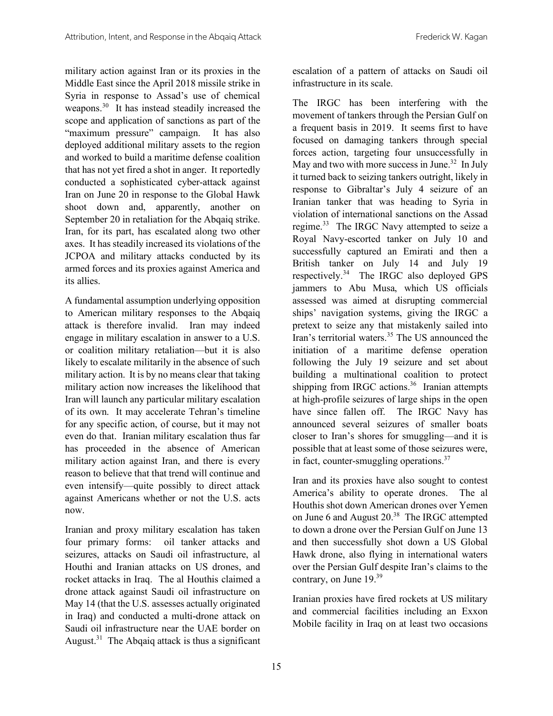military action against Iran or its proxies in the Middle East since the April 2018 missile strike in Syria in response to Assad's use of chemical weapons.<sup>30</sup> It has instead steadily increased the scope and application of sanctions as part of the "maximum pressure" campaign. It has also deployed additional military assets to the region and worked to build a maritime defense coalition that has not yet fired a shot in anger. It reportedly conducted a sophisticated cyber-attack against Iran on June 20 in response to the Global Hawk shoot down and, apparently, another on September 20 in retaliation for the Abqaiq strike. Iran, for its part, has escalated along two other axes. It has steadily increased its violations of the JCPOA and military attacks conducted by its armed forces and its proxies against America and its allies.

A fundamental assumption underlying opposition to American military responses to the Abqaiq attack is therefore invalid. Iran may indeed engage in military escalation in answer to a U.S. or coalition military retaliation—but it is also likely to escalate militarily in the absence of such military action. It is by no means clear that taking military action now increases the likelihood that Iran will launch any particular military escalation of its own. It may accelerate Tehran's timeline for any specific action, of course, but it may not even do that. Iranian military escalation thus far has proceeded in the absence of American military action against Iran, and there is every reason to believe that that trend will continue and even intensify—quite possibly to direct attack against Americans whether or not the U.S. acts now.

Iranian and proxy military escalation has taken four primary forms: oil tanker attacks and seizures, attacks on Saudi oil infrastructure, al Houthi and Iranian attacks on US drones, and rocket attacks in Iraq. The al Houthis claimed a drone attack against Saudi oil infrastructure on May 14 (that the U.S. assesses actually originated in Iraq) and conducted a multi-drone attack on Saudi oil infrastructure near the UAE border on August.<sup>31</sup> The Abqaiq attack is thus a significant

escalation of a pattern of attacks on Saudi oil infrastructure in its scale.

The IRGC has been interfering with the movement of tankers through the Persian Gulf on a frequent basis in 2019. It seems first to have focused on damaging tankers through special forces action, targeting four unsuccessfully in May and two with more success in June.<sup>32</sup> In July it turned back to seizing tankers outright, likely in response to Gibraltar's July 4 seizure of an Iranian tanker that was heading to Syria in violation of international sanctions on the Assad regime.<sup>33</sup> The IRGC Navy attempted to seize a Royal Navy-escorted tanker on July 10 and successfully captured an Emirati and then a British tanker on July 14 and July 19 respectively.34 The IRGC also deployed GPS jammers to Abu Musa, which US officials assessed was aimed at disrupting commercial ships' navigation systems, giving the IRGC a pretext to seize any that mistakenly sailed into Iran's territorial waters.<sup>35</sup> The US announced the initiation of a maritime defense operation following the July 19 seizure and set about building a multinational coalition to protect shipping from IRGC actions. $36$  Iranian attempts at high-profile seizures of large ships in the open have since fallen off. The IRGC Navy has announced several seizures of smaller boats closer to Iran's shores for smuggling—and it is possible that at least some of those seizures were, in fact, counter-smuggling operations.<sup>37</sup>

Iran and its proxies have also sought to contest America's ability to operate drones. The al Houthis shot down American drones over Yemen on June 6 and August 20.<sup>38</sup> The IRGC attempted to down a drone over the Persian Gulf on June 13 and then successfully shot down a US Global Hawk drone, also flying in international waters over the Persian Gulf despite Iran's claims to the contrary, on June 19.39

Iranian proxies have fired rockets at US military and commercial facilities including an Exxon Mobile facility in Iraq on at least two occasions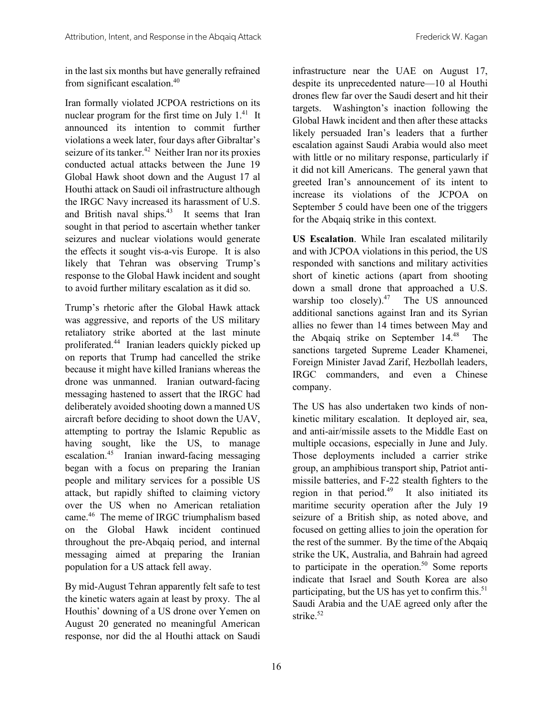in the last six months but have generally refrained from significant escalation.40

Iran formally violated JCPOA restrictions on its nuclear program for the first time on July  $1<sup>41</sup>$  It announced its intention to commit further violations a week later, four days after Gibraltar's seizure of its tanker.<sup>42</sup> Neither Iran nor its proxies conducted actual attacks between the June 19 Global Hawk shoot down and the August 17 al Houthi attack on Saudi oil infrastructure although the IRGC Navy increased its harassment of U.S. and British naval ships. 43 It seems that Iran sought in that period to ascertain whether tanker seizures and nuclear violations would generate the effects it sought vis-a-vis Europe. It is also likely that Tehran was observing Trump's response to the Global Hawk incident and sought to avoid further military escalation as it did so.

Trump's rhetoric after the Global Hawk attack was aggressive, and reports of the US military retaliatory strike aborted at the last minute proliferated. 44 Iranian leaders quickly picked up on reports that Trump had cancelled the strike because it might have killed Iranians whereas the drone was unmanned. Iranian outward-facing messaging hastened to assert that the IRGC had deliberately avoided shooting down a manned US aircraft before deciding to shoot down the UAV, attempting to portray the Islamic Republic as having sought, like the US, to manage escalation. 45 Iranian inward-facing messaging began with a focus on preparing the Iranian people and military services for a possible US attack, but rapidly shifted to claiming victory over the US when no American retaliation came.46 The meme of IRGC triumphalism based on the Global Hawk incident continued throughout the pre-Abqaiq period, and internal messaging aimed at preparing the Iranian population for a US attack fell away.

By mid-August Tehran apparently felt safe to test the kinetic waters again at least by proxy. The al Houthis' downing of a US drone over Yemen on August 20 generated no meaningful American response, nor did the al Houthi attack on Saudi

infrastructure near the UAE on August 17, despite its unprecedented nature—10 al Houthi drones flew far over the Saudi desert and hit their targets. Washington's inaction following the Global Hawk incident and then after these attacks likely persuaded Iran's leaders that a further escalation against Saudi Arabia would also meet with little or no military response, particularly if it did not kill Americans. The general yawn that greeted Iran's announcement of its intent to increase its violations of the JCPOA on September 5 could have been one of the triggers for the Abqaiq strike in this context.

**US Escalation**. While Iran escalated militarily and with JCPOA violations in this period, the US responded with sanctions and military activities short of kinetic actions (apart from shooting down a small drone that approached a U.S. warship too closely). $47$  The US announced additional sanctions against Iran and its Syrian allies no fewer than 14 times between May and the Abqaiq strike on September 14. 48 The sanctions targeted Supreme Leader Khamenei, Foreign Minister Javad Zarif, Hezbollah leaders, IRGC commanders, and even a Chinese company.

The US has also undertaken two kinds of nonkinetic military escalation. It deployed air, sea, and anti-air/missile assets to the Middle East on multiple occasions, especially in June and July. Those deployments included a carrier strike group, an amphibious transport ship, Patriot antimissile batteries, and F-22 stealth fighters to the region in that period.<sup>49</sup> It also initiated its maritime security operation after the July 19 seizure of a British ship, as noted above, and focused on getting allies to join the operation for the rest of the summer. By the time of the Abqaiq strike the UK, Australia, and Bahrain had agreed to participate in the operation.<sup>50</sup> Some reports indicate that Israel and South Korea are also participating, but the US has yet to confirm this. $51$ Saudi Arabia and the UAE agreed only after the strike.<sup>52</sup>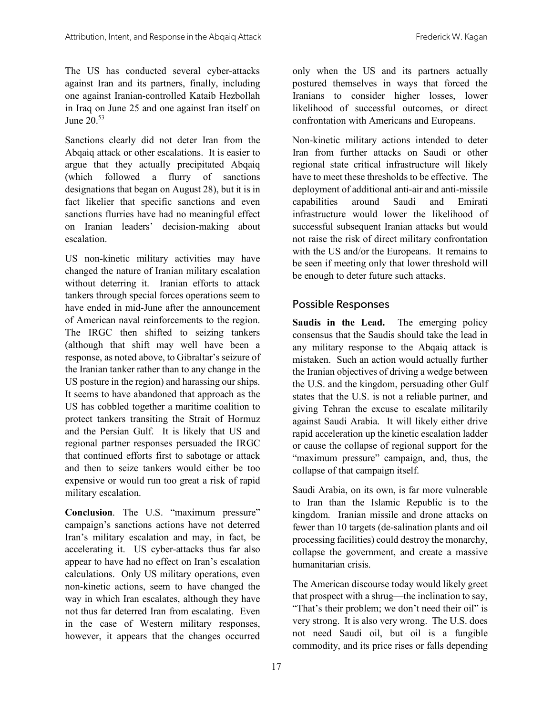The US has conducted several cyber-attacks against Iran and its partners, finally, including one against Iranian-controlled Kataib Hezbollah in Iraq on June 25 and one against Iran itself on June 20.53

Sanctions clearly did not deter Iran from the Abqaiq attack or other escalations. It is easier to argue that they actually precipitated Abqaiq (which followed a flurry of sanctions designations that began on August 28), but it is in fact likelier that specific sanctions and even sanctions flurries have had no meaningful effect on Iranian leaders' decision-making about escalation.

US non-kinetic military activities may have changed the nature of Iranian military escalation without deterring it. Iranian efforts to attack tankers through special forces operations seem to have ended in mid-June after the announcement of American naval reinforcements to the region. The IRGC then shifted to seizing tankers (although that shift may well have been a response, as noted above, to Gibraltar's seizure of the Iranian tanker rather than to any change in the US posture in the region) and harassing our ships. It seems to have abandoned that approach as the US has cobbled together a maritime coalition to protect tankers transiting the Strait of Hormuz and the Persian Gulf. It is likely that US and regional partner responses persuaded the IRGC that continued efforts first to sabotage or attack and then to seize tankers would either be too expensive or would run too great a risk of rapid military escalation.

**Conclusion**. The U.S. "maximum pressure" campaign's sanctions actions have not deterred Iran's military escalation and may, in fact, be accelerating it. US cyber-attacks thus far also appear to have had no effect on Iran's escalation calculations. Only US military operations, even non-kinetic actions, seem to have changed the way in which Iran escalates, although they have not thus far deterred Iran from escalating. Even in the case of Western military responses, however, it appears that the changes occurred

only when the US and its partners actually postured themselves in ways that forced the Iranians to consider higher losses, lower likelihood of successful outcomes, or direct confrontation with Americans and Europeans.

Non-kinetic military actions intended to deter Iran from further attacks on Saudi or other regional state critical infrastructure will likely have to meet these thresholds to be effective. The deployment of additional anti-air and anti-missile capabilities around Saudi and Emirati infrastructure would lower the likelihood of successful subsequent Iranian attacks but would not raise the risk of direct military confrontation with the US and/or the Europeans. It remains to be seen if meeting only that lower threshold will be enough to deter future such attacks.

#### Possible Responses

**Saudis in the Lead.** The emerging policy consensus that the Saudis should take the lead in any military response to the Abqaiq attack is mistaken. Such an action would actually further the Iranian objectives of driving a wedge between the U.S. and the kingdom, persuading other Gulf states that the U.S. is not a reliable partner, and giving Tehran the excuse to escalate militarily against Saudi Arabia. It will likely either drive rapid acceleration up the kinetic escalation ladder or cause the collapse of regional support for the "maximum pressure" campaign, and, thus, the collapse of that campaign itself.

Saudi Arabia, on its own, is far more vulnerable to Iran than the Islamic Republic is to the kingdom. Iranian missile and drone attacks on fewer than 10 targets (de-salination plants and oil processing facilities) could destroy the monarchy, collapse the government, and create a massive humanitarian crisis.

The American discourse today would likely greet that prospect with a shrug—the inclination to say, "That's their problem; we don't need their oil" is very strong. It is also very wrong. The U.S. does not need Saudi oil, but oil is a fungible commodity, and its price rises or falls depending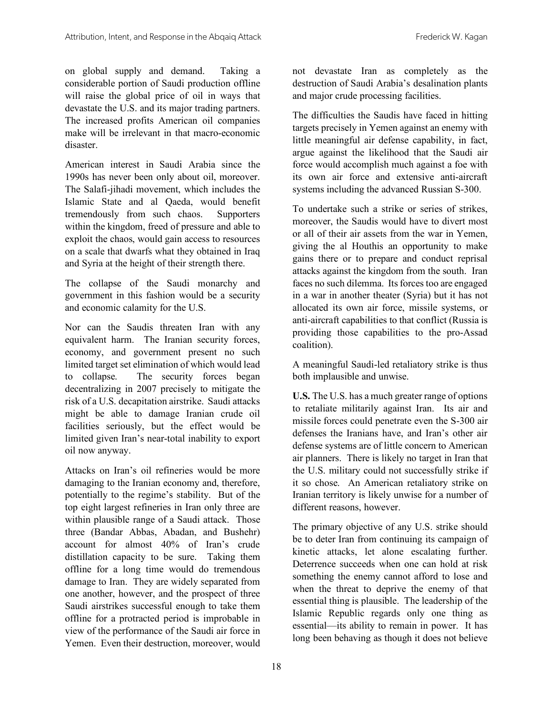on global supply and demand. Taking a considerable portion of Saudi production offline will raise the global price of oil in ways that devastate the U.S. and its major trading partners. The increased profits American oil companies make will be irrelevant in that macro-economic disaster.

American interest in Saudi Arabia since the 1990s has never been only about oil, moreover. The Salafi-jihadi movement, which includes the Islamic State and al Qaeda, would benefit tremendously from such chaos. Supporters within the kingdom, freed of pressure and able to exploit the chaos, would gain access to resources on a scale that dwarfs what they obtained in Iraq and Syria at the height of their strength there.

The collapse of the Saudi monarchy and government in this fashion would be a security and economic calamity for the U.S.

Nor can the Saudis threaten Iran with any equivalent harm. The Iranian security forces, economy, and government present no such limited target set elimination of which would lead to collapse. The security forces began decentralizing in 2007 precisely to mitigate the risk of a U.S. decapitation airstrike. Saudi attacks might be able to damage Iranian crude oil facilities seriously, but the effect would be limited given Iran's near-total inability to export oil now anyway.

Attacks on Iran's oil refineries would be more damaging to the Iranian economy and, therefore, potentially to the regime's stability. But of the top eight largest refineries in Iran only three are within plausible range of a Saudi attack. Those three (Bandar Abbas, Abadan, and Bushehr) account for almost 40% of Iran's crude distillation capacity to be sure. Taking them offline for a long time would do tremendous damage to Iran. They are widely separated from one another, however, and the prospect of three Saudi airstrikes successful enough to take them offline for a protracted period is improbable in view of the performance of the Saudi air force in Yemen. Even their destruction, moreover, would

not devastate Iran as completely as the destruction of Saudi Arabia's desalination plants and major crude processing facilities.

The difficulties the Saudis have faced in hitting targets precisely in Yemen against an enemy with little meaningful air defense capability, in fact, argue against the likelihood that the Saudi air force would accomplish much against a foe with its own air force and extensive anti-aircraft systems including the advanced Russian S-300.

To undertake such a strike or series of strikes, moreover, the Saudis would have to divert most or all of their air assets from the war in Yemen, giving the al Houthis an opportunity to make gains there or to prepare and conduct reprisal attacks against the kingdom from the south. Iran faces no such dilemma. Its forces too are engaged in a war in another theater (Syria) but it has not allocated its own air force, missile systems, or anti-aircraft capabilities to that conflict (Russia is providing those capabilities to the pro-Assad coalition).

A meaningful Saudi-led retaliatory strike is thus both implausible and unwise.

**U.S.** The U.S. has a much greater range of options to retaliate militarily against Iran. Its air and missile forces could penetrate even the S-300 air defenses the Iranians have, and Iran's other air defense systems are of little concern to American air planners. There is likely no target in Iran that the U.S. military could not successfully strike if it so chose. An American retaliatory strike on Iranian territory is likely unwise for a number of different reasons, however.

The primary objective of any U.S. strike should be to deter Iran from continuing its campaign of kinetic attacks, let alone escalating further. Deterrence succeeds when one can hold at risk something the enemy cannot afford to lose and when the threat to deprive the enemy of that essential thing is plausible. The leadership of the Islamic Republic regards only one thing as essential—its ability to remain in power. It has long been behaving as though it does not believe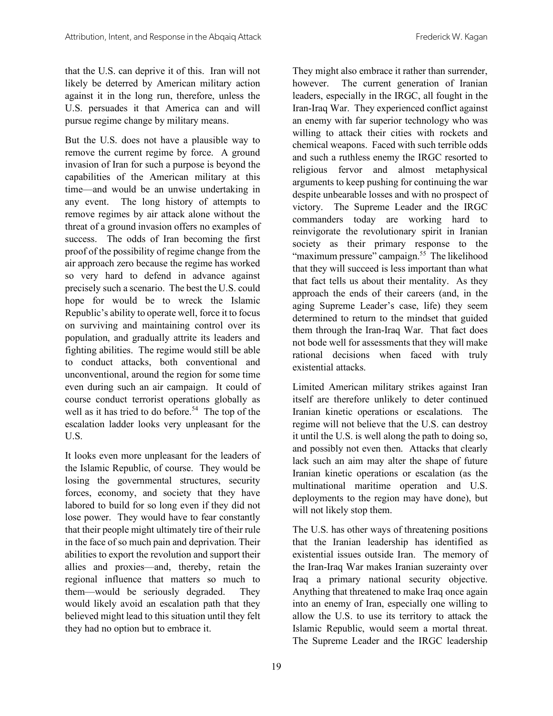that the U.S. can deprive it of this. Iran will not likely be deterred by American military action against it in the long run, therefore, unless the U.S. persuades it that America can and will pursue regime change by military means.

But the U.S. does not have a plausible way to remove the current regime by force. A ground invasion of Iran for such a purpose is beyond the capabilities of the American military at this time—and would be an unwise undertaking in any event. The long history of attempts to remove regimes by air attack alone without the threat of a ground invasion offers no examples of success. The odds of Iran becoming the first proof of the possibility of regime change from the air approach zero because the regime has worked so very hard to defend in advance against precisely such a scenario. The best the U.S. could hope for would be to wreck the Islamic Republic's ability to operate well, force it to focus on surviving and maintaining control over its population, and gradually attrite its leaders and fighting abilities. The regime would still be able to conduct attacks, both conventional and unconventional, around the region for some time even during such an air campaign. It could of course conduct terrorist operations globally as well as it has tried to do before. 54 The top of the escalation ladder looks very unpleasant for the U.S.

It looks even more unpleasant for the leaders of the Islamic Republic, of course. They would be losing the governmental structures, security forces, economy, and society that they have labored to build for so long even if they did not lose power. They would have to fear constantly that their people might ultimately tire of their rule in the face of so much pain and deprivation. Their abilities to export the revolution and support their allies and proxies—and, thereby, retain the regional influence that matters so much to them—would be seriously degraded. They would likely avoid an escalation path that they believed might lead to this situation until they felt they had no option but to embrace it.

They might also embrace it rather than surrender, however. The current generation of Iranian leaders, especially in the IRGC, all fought in the Iran-Iraq War. They experienced conflict against an enemy with far superior technology who was willing to attack their cities with rockets and chemical weapons. Faced with such terrible odds and such a ruthless enemy the IRGC resorted to religious fervor and almost metaphysical arguments to keep pushing for continuing the war despite unbearable losses and with no prospect of victory. The Supreme Leader and the IRGC commanders today are working hard to reinvigorate the revolutionary spirit in Iranian society as their primary response to the "maximum pressure" campaign.<sup>55</sup> The likelihood that they will succeed is less important than what that fact tells us about their mentality. As they approach the ends of their careers (and, in the aging Supreme Leader's case, life) they seem determined to return to the mindset that guided them through the Iran-Iraq War. That fact does not bode well for assessments that they will make rational decisions when faced with truly existential attacks.

Limited American military strikes against Iran itself are therefore unlikely to deter continued Iranian kinetic operations or escalations. The regime will not believe that the U.S. can destroy it until the U.S. is well along the path to doing so, and possibly not even then. Attacks that clearly lack such an aim may alter the shape of future Iranian kinetic operations or escalation (as the multinational maritime operation and U.S. deployments to the region may have done), but will not likely stop them.

The U.S. has other ways of threatening positions that the Iranian leadership has identified as existential issues outside Iran. The memory of the Iran-Iraq War makes Iranian suzerainty over Iraq a primary national security objective. Anything that threatened to make Iraq once again into an enemy of Iran, especially one willing to allow the U.S. to use its territory to attack the Islamic Republic, would seem a mortal threat. The Supreme Leader and the IRGC leadership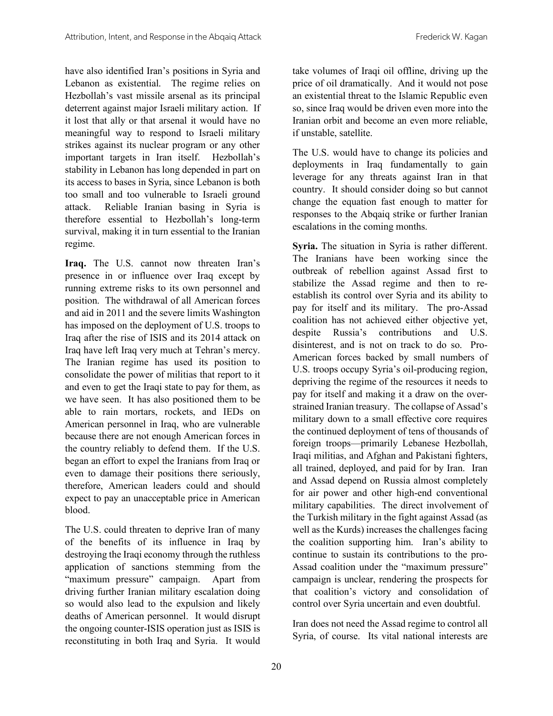have also identified Iran's positions in Syria and Lebanon as existential. The regime relies on Hezbollah's vast missile arsenal as its principal deterrent against major Israeli military action. If it lost that ally or that arsenal it would have no meaningful way to respond to Israeli military strikes against its nuclear program or any other important targets in Iran itself. Hezbollah's stability in Lebanon has long depended in part on its access to bases in Syria, since Lebanon is both too small and too vulnerable to Israeli ground attack. Reliable Iranian basing in Syria is therefore essential to Hezbollah's long-term survival, making it in turn essential to the Iranian regime.

**Iraq.** The U.S. cannot now threaten Iran's presence in or influence over Iraq except by running extreme risks to its own personnel and position. The withdrawal of all American forces and aid in 2011 and the severe limits Washington has imposed on the deployment of U.S. troops to Iraq after the rise of ISIS and its 2014 attack on Iraq have left Iraq very much at Tehran's mercy. The Iranian regime has used its position to consolidate the power of militias that report to it and even to get the Iraqi state to pay for them, as we have seen. It has also positioned them to be able to rain mortars, rockets, and IEDs on American personnel in Iraq, who are vulnerable because there are not enough American forces in the country reliably to defend them. If the U.S. began an effort to expel the Iranians from Iraq or even to damage their positions there seriously, therefore, American leaders could and should expect to pay an unacceptable price in American blood.

The U.S. could threaten to deprive Iran of many of the benefits of its influence in Iraq by destroying the Iraqi economy through the ruthless application of sanctions stemming from the "maximum pressure" campaign. Apart from driving further Iranian military escalation doing so would also lead to the expulsion and likely deaths of American personnel. It would disrupt the ongoing counter-ISIS operation just as ISIS is reconstituting in both Iraq and Syria. It would

take volumes of Iraqi oil offline, driving up the price of oil dramatically. And it would not pose an existential threat to the Islamic Republic even so, since Iraq would be driven even more into the Iranian orbit and become an even more reliable, if unstable, satellite.

The U.S. would have to change its policies and deployments in Iraq fundamentally to gain leverage for any threats against Iran in that country. It should consider doing so but cannot change the equation fast enough to matter for responses to the Abqaiq strike or further Iranian escalations in the coming months.

**Syria.** The situation in Syria is rather different. The Iranians have been working since the outbreak of rebellion against Assad first to stabilize the Assad regime and then to reestablish its control over Syria and its ability to pay for itself and its military. The pro-Assad coalition has not achieved either objective yet, despite Russia's contributions and U.S. disinterest, and is not on track to do so. Pro-American forces backed by small numbers of U.S. troops occupy Syria's oil-producing region, depriving the regime of the resources it needs to pay for itself and making it a draw on the overstrained Iranian treasury. The collapse of Assad's military down to a small effective core requires the continued deployment of tens of thousands of foreign troops—primarily Lebanese Hezbollah, Iraqi militias, and Afghan and Pakistani fighters, all trained, deployed, and paid for by Iran. Iran and Assad depend on Russia almost completely for air power and other high-end conventional military capabilities. The direct involvement of the Turkish military in the fight against Assad (as well as the Kurds) increases the challenges facing the coalition supporting him. Iran's ability to continue to sustain its contributions to the pro-Assad coalition under the "maximum pressure" campaign is unclear, rendering the prospects for that coalition's victory and consolidation of control over Syria uncertain and even doubtful.

Iran does not need the Assad regime to control all Syria, of course. Its vital national interests are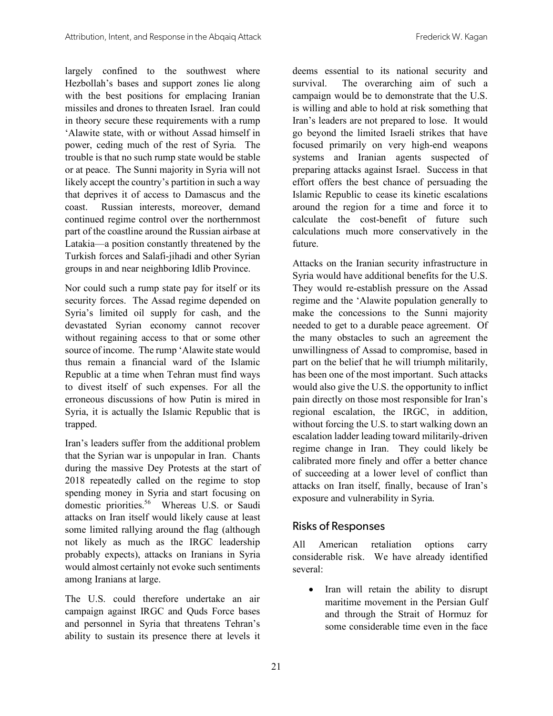largely confined to the southwest where Hezbollah's bases and support zones lie along with the best positions for emplacing Iranian missiles and drones to threaten Israel. Iran could in theory secure these requirements with a rump 'Alawite state, with or without Assad himself in power, ceding much of the rest of Syria. The trouble is that no such rump state would be stable or at peace. The Sunni majority in Syria will not likely accept the country's partition in such a way that deprives it of access to Damascus and the coast. Russian interests, moreover, demand continued regime control over the northernmost part of the coastline around the Russian airbase at Latakia—a position constantly threatened by the Turkish forces and Salafi-jihadi and other Syrian groups in and near neighboring Idlib Province.

Nor could such a rump state pay for itself or its security forces. The Assad regime depended on Syria's limited oil supply for cash, and the devastated Syrian economy cannot recover without regaining access to that or some other source of income. The rump 'Alawite state would thus remain a financial ward of the Islamic Republic at a time when Tehran must find ways to divest itself of such expenses. For all the erroneous discussions of how Putin is mired in Syria, it is actually the Islamic Republic that is trapped.

Iran's leaders suffer from the additional problem that the Syrian war is unpopular in Iran. Chants during the massive Dey Protests at the start of 2018 repeatedly called on the regime to stop spending money in Syria and start focusing on domestic priorities.<sup>56</sup> Whereas U.S. or Saudi attacks on Iran itself would likely cause at least some limited rallying around the flag (although not likely as much as the IRGC leadership probably expects), attacks on Iranians in Syria would almost certainly not evoke such sentiments among Iranians at large.

The U.S. could therefore undertake an air campaign against IRGC and Quds Force bases and personnel in Syria that threatens Tehran's ability to sustain its presence there at levels it

deems essential to its national security and survival. The overarching aim of such a campaign would be to demonstrate that the U.S. is willing and able to hold at risk something that Iran's leaders are not prepared to lose. It would go beyond the limited Israeli strikes that have focused primarily on very high-end weapons systems and Iranian agents suspected of preparing attacks against Israel. Success in that effort offers the best chance of persuading the Islamic Republic to cease its kinetic escalations around the region for a time and force it to calculate the cost-benefit of future such calculations much more conservatively in the future.

Attacks on the Iranian security infrastructure in Syria would have additional benefits for the U.S. They would re-establish pressure on the Assad regime and the 'Alawite population generally to make the concessions to the Sunni majority needed to get to a durable peace agreement. Of the many obstacles to such an agreement the unwillingness of Assad to compromise, based in part on the belief that he will triumph militarily, has been one of the most important. Such attacks would also give the U.S. the opportunity to inflict pain directly on those most responsible for Iran's regional escalation, the IRGC, in addition, without forcing the U.S. to start walking down an escalation ladder leading toward militarily-driven regime change in Iran. They could likely be calibrated more finely and offer a better chance of succeeding at a lower level of conflict than attacks on Iran itself, finally, because of Iran's exposure and vulnerability in Syria.

#### Risks of Responses

All American retaliation options carry considerable risk. We have already identified several:

Iran will retain the ability to disrupt maritime movement in the Persian Gulf and through the Strait of Hormuz for some considerable time even in the face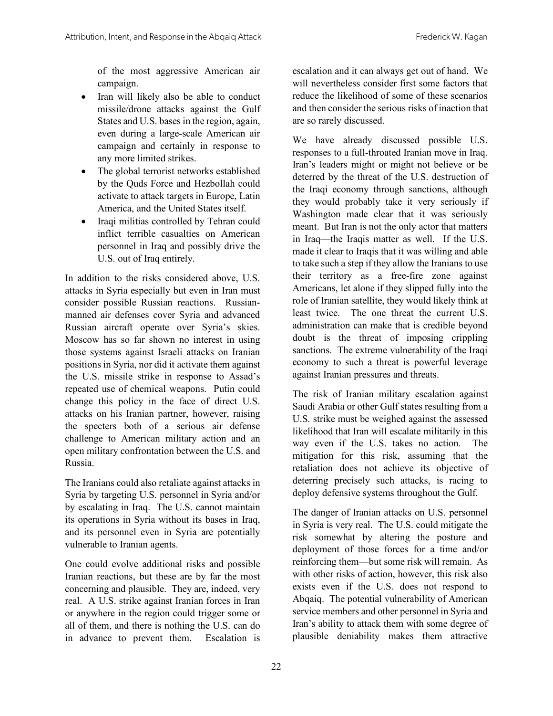of the most aggressive American air campaign.

- Iran will likely also be able to conduct missile/drone attacks against the Gulf States and U.S. bases in the region, again, even during a large-scale American air campaign and certainly in response to any more limited strikes.
- The global terrorist networks established by the Quds Force and Hezbollah could activate to attack targets in Europe, Latin America, and the United States itself.
- Iraqi militias controlled by Tehran could inflict terrible casualties on American personnel in Iraq and possibly drive the U.S. out of Iraq entirely.

In addition to the risks considered above, U.S. attacks in Syria especially but even in Iran must consider possible Russian reactions. Russianmanned air defenses cover Syria and advanced Russian aircraft operate over Syria's skies. Moscow has so far shown no interest in using those systems against Israeli attacks on Iranian positions in Syria, nor did it activate them against the U.S. missile strike in response to Assad's repeated use of chemical weapons. Putin could change this policy in the face of direct U.S. attacks on his Iranian partner, however, raising the specters both of a serious air defense challenge to American military action and an open military confrontation between the U.S. and Russia.

The Iranians could also retaliate against attacks in Syria by targeting U.S. personnel in Syria and/or by escalating in Iraq. The U.S. cannot maintain its operations in Syria without its bases in Iraq, and its personnel even in Syria are potentially vulnerable to Iranian agents.

One could evolve additional risks and possible Iranian reactions, but these are by far the most concerning and plausible. They are, indeed, very real. A U.S. strike against Iranian forces in Iran or anywhere in the region could trigger some or all of them, and there is nothing the U.S. can do in advance to prevent them. Escalation is

escalation and it can always get out of hand. We will nevertheless consider first some factors that reduce the likelihood of some of these scenarios and then consider the serious risks of inaction that are so rarely discussed.

We have already discussed possible U.S. responses to a full-throated Iranian move in Iraq. Iran's leaders might or might not believe or be deterred by the threat of the U.S. destruction of the Iraqi economy through sanctions, although they would probably take it very seriously if Washington made clear that it was seriously meant. But Iran is not the only actor that matters in Iraq—the Iraqis matter as well. If the U.S. made it clear to Iraqis that it was willing and able to take such a step if they allow the Iranians to use their territory as a free-fire zone against Americans, let alone if they slipped fully into the role of Iranian satellite, they would likely think at least twice. The one threat the current U.S. administration can make that is credible beyond doubt is the threat of imposing crippling sanctions. The extreme vulnerability of the Iraqi economy to such a threat is powerful leverage against Iranian pressures and threats.

The risk of Iranian military escalation against Saudi Arabia or other Gulf states resulting from a U.S. strike must be weighed against the assessed likelihood that Iran will escalate militarily in this way even if the U.S. takes no action. The mitigation for this risk, assuming that the retaliation does not achieve its objective of deterring precisely such attacks, is racing to deploy defensive systems throughout the Gulf.

The danger of Iranian attacks on U.S. personnel in Syria is very real. The U.S. could mitigate the risk somewhat by altering the posture and deployment of those forces for a time and/or reinforcing them—but some risk will remain. As with other risks of action, however, this risk also exists even if the U.S. does not respond to Abqaiq. The potential vulnerability of American service members and other personnel in Syria and Iran's ability to attack them with some degree of plausible deniability makes them attractive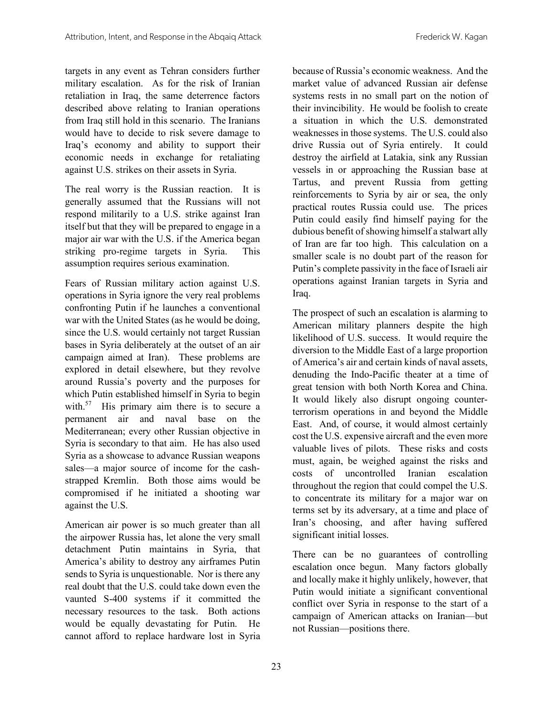targets in any event as Tehran considers further military escalation. As for the risk of Iranian retaliation in Iraq, the same deterrence factors described above relating to Iranian operations from Iraq still hold in this scenario. The Iranians would have to decide to risk severe damage to Iraq's economy and ability to support their economic needs in exchange for retaliating against U.S. strikes on their assets in Syria.

The real worry is the Russian reaction. It is generally assumed that the Russians will not respond militarily to a U.S. strike against Iran itself but that they will be prepared to engage in a major air war with the U.S. if the America began striking pro-regime targets in Syria. This assumption requires serious examination.

Fears of Russian military action against U.S. operations in Syria ignore the very real problems confronting Putin if he launches a conventional war with the United States (as he would be doing, since the U.S. would certainly not target Russian bases in Syria deliberately at the outset of an air campaign aimed at Iran). These problems are explored in detail elsewhere, but they revolve around Russia's poverty and the purposes for which Putin established himself in Syria to begin with.<sup>57</sup> His primary aim there is to secure a permanent air and naval base on the Mediterranean; every other Russian objective in Syria is secondary to that aim. He has also used Syria as a showcase to advance Russian weapons sales—a major source of income for the cashstrapped Kremlin. Both those aims would be compromised if he initiated a shooting war against the U.S.

American air power is so much greater than all the airpower Russia has, let alone the very small detachment Putin maintains in Syria, that America's ability to destroy any airframes Putin sends to Syria is unquestionable. Nor is there any real doubt that the U.S. could take down even the vaunted S-400 systems if it committed the necessary resources to the task. Both actions would be equally devastating for Putin. He cannot afford to replace hardware lost in Syria

because of Russia's economic weakness. And the market value of advanced Russian air defense systems rests in no small part on the notion of their invincibility. He would be foolish to create a situation in which the U.S. demonstrated weaknesses in those systems. The U.S. could also drive Russia out of Syria entirely. It could destroy the airfield at Latakia, sink any Russian vessels in or approaching the Russian base at Tartus, and prevent Russia from getting reinforcements to Syria by air or sea, the only practical routes Russia could use. The prices Putin could easily find himself paying for the dubious benefit of showing himself a stalwart ally of Iran are far too high. This calculation on a smaller scale is no doubt part of the reason for Putin's complete passivity in the face of Israeli air operations against Iranian targets in Syria and Iraq.

The prospect of such an escalation is alarming to American military planners despite the high likelihood of U.S. success. It would require the diversion to the Middle East of a large proportion of America's air and certain kinds of naval assets, denuding the Indo-Pacific theater at a time of great tension with both North Korea and China. It would likely also disrupt ongoing counterterrorism operations in and beyond the Middle East. And, of course, it would almost certainly cost the U.S. expensive aircraft and the even more valuable lives of pilots. These risks and costs must, again, be weighed against the risks and costs of uncontrolled Iranian escalation throughout the region that could compel the U.S. to concentrate its military for a major war on terms set by its adversary, at a time and place of Iran's choosing, and after having suffered significant initial losses.

There can be no guarantees of controlling escalation once begun. Many factors globally and locally make it highly unlikely, however, that Putin would initiate a significant conventional conflict over Syria in response to the start of a campaign of American attacks on Iranian—but not Russian—positions there.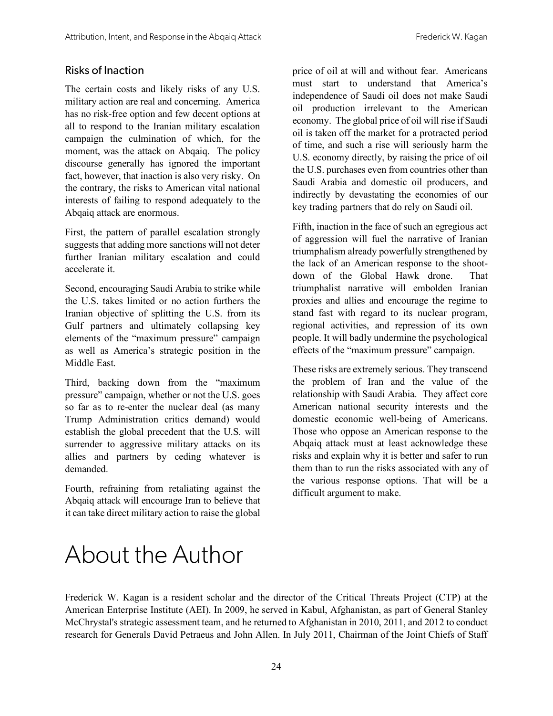#### Risks of Inaction

The certain costs and likely risks of any U.S. military action are real and concerning. America has no risk-free option and few decent options at all to respond to the Iranian military escalation campaign the culmination of which, for the moment, was the attack on Abqaiq. The policy discourse generally has ignored the important fact, however, that inaction is also very risky. On the contrary, the risks to American vital national interests of failing to respond adequately to the Abqaiq attack are enormous.

First, the pattern of parallel escalation strongly suggests that adding more sanctions will not deter further Iranian military escalation and could accelerate it.

Second, encouraging Saudi Arabia to strike while the U.S. takes limited or no action furthers the Iranian objective of splitting the U.S. from its Gulf partners and ultimately collapsing key elements of the "maximum pressure" campaign as well as America's strategic position in the Middle East.

Third, backing down from the "maximum pressure" campaign, whether or not the U.S. goes so far as to re-enter the nuclear deal (as many Trump Administration critics demand) would establish the global precedent that the U.S. will surrender to aggressive military attacks on its allies and partners by ceding whatever is demanded.

Fourth, refraining from retaliating against the Abqaiq attack will encourage Iran to believe that it can take direct military action to raise the global

price of oil at will and without fear. Americans must start to understand that America's independence of Saudi oil does not make Saudi oil production irrelevant to the American economy. The global price of oil will rise if Saudi oil is taken off the market for a protracted period of time, and such a rise will seriously harm the U.S. economy directly, by raising the price of oil the U.S. purchases even from countries other than Saudi Arabia and domestic oil producers, and indirectly by devastating the economies of our key trading partners that do rely on Saudi oil.

Fifth, inaction in the face of such an egregious act of aggression will fuel the narrative of Iranian triumphalism already powerfully strengthened by the lack of an American response to the shootdown of the Global Hawk drone. That triumphalist narrative will embolden Iranian proxies and allies and encourage the regime to stand fast with regard to its nuclear program, regional activities, and repression of its own people. It will badly undermine the psychological effects of the "maximum pressure" campaign.

These risks are extremely serious. They transcend the problem of Iran and the value of the relationship with Saudi Arabia. They affect core American national security interests and the domestic economic well-being of Americans. Those who oppose an American response to the Abqaiq attack must at least acknowledge these risks and explain why it is better and safer to run them than to run the risks associated with any of the various response options. That will be a difficult argument to make.

### About the Author

Frederick W. Kagan is a resident scholar and the director of the Critical Threats Project (CTP) at the American Enterprise Institute (AEI). In 2009, he served in Kabul, Afghanistan, as part of General Stanley McChrystal's strategic assessment team, and he returned to Afghanistan in 2010, 2011, and 2012 to conduct research for Generals David Petraeus and John Allen. In July 2011, Chairman of the Joint Chiefs of Staff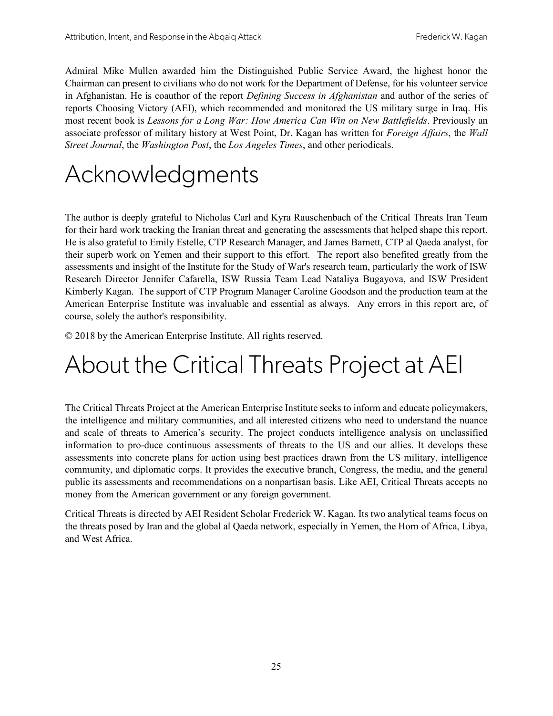Admiral Mike Mullen awarded him the Distinguished Public Service Award, the highest honor the Chairman can present to civilians who do not work for the Department of Defense, for his volunteer service in Afghanistan. He is coauthor of the report *Defining Success in Afghanistan* and author of the series of reports Choosing Victory (AEI), which recommended and monitored the US military surge in Iraq. His most recent book is *Lessons for a Long War: How America Can Win on New Battlefields*. Previously an associate professor of military history at West Point, Dr. Kagan has written for *Foreign Affairs*, the *Wall Street Journal*, the *Washington Post*, the *Los Angeles Times*, and other periodicals.

### Acknowledgments

The author is deeply grateful to Nicholas Carl and Kyra Rauschenbach of the Critical Threats Iran Team for their hard work tracking the Iranian threat and generating the assessments that helped shape this report. He is also grateful to Emily Estelle, CTP Research Manager, and James Barnett, CTP al Qaeda analyst, for their superb work on Yemen and their support to this effort. The report also benefited greatly from the assessments and insight of the Institute for the Study of War's research team, particularly the work of ISW Research Director Jennifer Cafarella, ISW Russia Team Lead Nataliya Bugayova, and ISW President Kimberly Kagan. The support of CTP Program Manager Caroline Goodson and the production team at the American Enterprise Institute was invaluable and essential as always. Any errors in this report are, of course, solely the author's responsibility.

© 2018 by the American Enterprise Institute. All rights reserved.

### About the Critical Threats Project at AEI

The Critical Threats Project at the American Enterprise Institute seeks to inform and educate policymakers, the intelligence and military communities, and all interested citizens who need to understand the nuance and scale of threats to America's security. The project conducts intelligence analysis on unclassified information to pro-duce continuous assessments of threats to the US and our allies. It develops these assessments into concrete plans for action using best practices drawn from the US military, intelligence community, and diplomatic corps. It provides the executive branch, Congress, the media, and the general public its assessments and recommendations on a nonpartisan basis. Like AEI, Critical Threats accepts no money from the American government or any foreign government.

Critical Threats is directed by AEI Resident Scholar Frederick W. Kagan. Its two analytical teams focus on the threats posed by Iran and the global al Qaeda network, especially in Yemen, the Horn of Africa, Libya, and West Africa.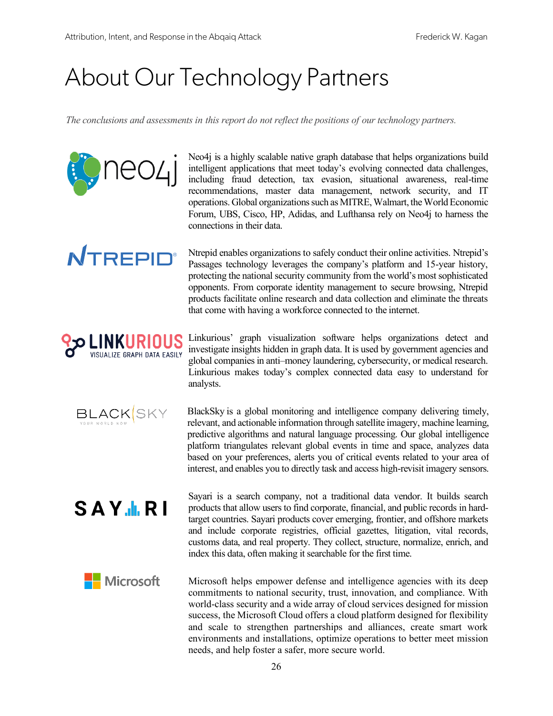neo4i

**NTREPID®** 

**BLACK**SKY

SAY.I.RI

## About Our Technology Partners

*The conclusions and assessments in this report do not reflect the positions of our technology partners.*

Neo4j is a highly scalable native graph database that helps organizations build intelligent applications that meet today's evolving connected data challenges, including fraud detection, tax evasion, situational awareness, real-time recommendations, master data management, network security, and IT operations. Global organizations such as MITRE, Walmart, the World Economic Forum, UBS, Cisco, HP, Adidas, and Lufthansa rely on Neo4j to harness the connections in their data.

Ntrepid enables organizations to safely conduct their online activities. Ntrepid's Passages technology leverages the company's platform and 15-year history, protecting the national security community from the world's most sophisticated opponents. From corporate identity management to secure browsing, Ntrepid products facilitate online research and data collection and eliminate the threats that come with having a workforce connected to the internet.

**LINKURIOUS ص** Linkurious' graph visualization software helps organizations detect and investigate insights hidden in graph data. It is used by government agencies and ISUALIZE GRAPH DATA EASILY global companies in anti–money laundering, cybersecurity, or medical research. Linkurious makes today's complex connected data easy to understand for analysts.

> BlackSky is a global monitoring and intelligence company delivering timely, relevant, and actionable information through satellite imagery, machine learning, predictive algorithms and natural language processing. Our global intelligence platform triangulates relevant global events in time and space, analyzes data based on your preferences, alerts you of critical events related to your area of interest, and enables you to directly task and access high-revisit imagery sensors.

> Sayari is a search company, not a traditional data vendor. It builds search products that allow users to find corporate, financial, and public records in hardtarget countries. Sayari products cover emerging, frontier, and offshore markets and include corporate registries, official gazettes, litigation, vital records, customs data, and real property. They collect, structure, normalize, enrich, and index this data, often making it searchable for the first time.

Microsoft Microsoft helps empower defense and intelligence agencies with its deep commitments to national security, trust, innovation, and compliance. With world-class security and a wide array of cloud services designed for mission success, the Microsoft Cloud offers a cloud platform designed for flexibility and scale to strengthen partnerships and alliances, create smart work environments and installations, optimize operations to better meet mission needs, and help foster a safer, more secure world.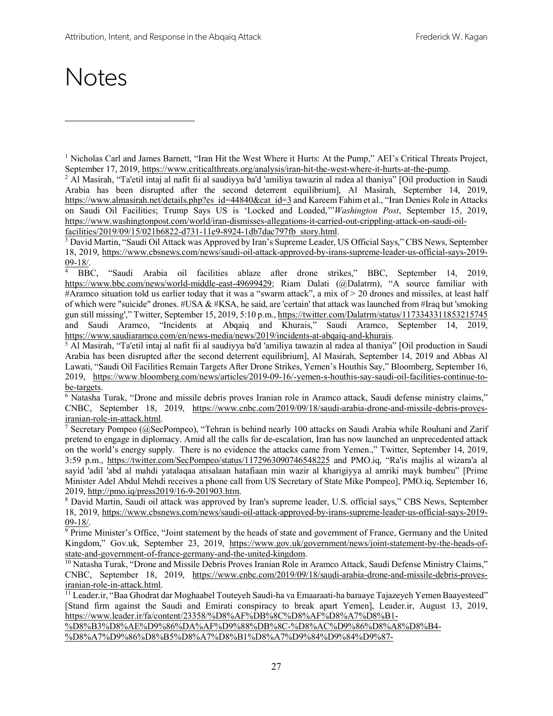### **Notes**

l

<sup>2</sup> Al Masirah, "Ta'etil intaj al nafit fii al saudiyya ba'd 'amiliya tawazin al radea al thaniya" [Oil production in Saudi Arabia has been disrupted after the second deterrent equilibrium], Al Masirah, September 14, 2019, https://www.almasirah.net/details.php?es\_id=44840&cat\_id=3 and Kareem Fahim et al., "Iran Denies Role in Attacks on Saudi Oil Facilities; Trump Says US is 'Locked and Loaded,'"*Washington Post*, September 15, 2019, https://www.washingtonpost.com/world/iran-dismisses-allegations-it-carried-out-crippling-attack-on-saudi-oilfacilities/2019/09/15/021b6822-d731-11e9-8924-1db7dac797fb\_story.html.

<sup>3</sup> David Martin, "Saudi Oil Attack was Approved by Iran's Supreme Leader, US Official Says," CBS News, September 18, 2019, https://www.cbsnews.com/news/saudi-oil-attack-approved-by-irans-supreme-leader-us-official-says-2019-  $\frac{09-18}{4}$ . BBC,

<sup>4</sup> BBC, "Saudi Arabia oil facilities ablaze after drone strikes," BBC, September 14, 2019, https://www.bbc.com/news/world-middle-east-49699429; Riam Dalati (@Dalatrm), "A source familiar with #Aramco situation told us earlier today that it was a "swarm attack", a mix of > 20 drones and missiles, at least half of which were "suicide" drones.  $\#USA \& \#KSA$ , he said, are 'certain' that attack was launched from  $\# Iraq$  but 'smoking gun still missing'," Twitter, September 15, 2019, 5:10 p.m., https://twitter.com/Dalatrm/status/1173343311853215745 and Saudi Aramco, "Incidents at Abqaiq and Khurais," Saudi Aramco, September 14, 2019, https://www.saudiaramco.com/en/news-media/news/2019/incidents-at-abqaiq-and-khurais.

<sup>5</sup> Al Masirah, "Ta'etil intaj al nafit fii al saudiyya ba'd 'amiliya tawazin al radea al thaniya" [Oil production in Saudi Arabia has been disrupted after the second deterrent equilibrium], Al Masirah, September 14, 2019 and Abbas Al Lawati, "Saudi Oil Facilities Remain Targets After Drone Strikes, Yemen's Houthis Say," Bloomberg, September 16, 2019, https://www.bloomberg.com/news/articles/2019-09-16/-yemen-s-houthis-say-saudi-oil-facilities-continue-tobe-targets.

<sup>6</sup> Natasha Turak, "Drone and missile debris proves Iranian role in Aramco attack, Saudi defense ministry claims," CNBC, September 18, 2019, https://www.cnbc.com/2019/09/18/saudi-arabia-drone-and-missile-debris-provesiranian-role-in-attack.html.

<sup>7</sup> Secretary Pompeo (@SecPompeo), "Tehran is behind nearly 100 attacks on Saudi Arabia while Rouhani and Zarif pretend to engage in diplomacy. Amid all the calls for de-escalation, Iran has now launched an unprecedented attack on the world's energy supply. There is no evidence the attacks came from Yemen.," Twitter, September 14, 2019, 3:59 p.m., https://twitter.com/SecPompeo/status/1172963090746548225 and PMO.iq, "Ra'is majlis al wizara'a al sayid 'adil 'abd al mahdi yatalaqaa atisalaan hatafiaan min wazir al kharigiyya al amriki mayk bumbeu" [Prime Minister Adel Abdul Mehdi receives a phone call from US Secretary of State Mike Pompeo], PMO.iq, September 16, 2019, http://pmo.iq/press2019/16-9-201903.htm.

<sup>8</sup> David Martin, Saudi oil attack was approved by Iran's supreme leader, U.S. official says," CBS News, September 18, 2019, https://www.cbsnews.com/news/saudi-oil-attack-approved-by-irans-supreme-leader-us-official-says-2019- 09-18/.

<sup>9</sup> Prime Minister's Office, "Joint statement by the heads of state and government of France, Germany and the United Kingdom," Gov.uk, September 23, 2019, https://www.gov.uk/government/news/joint-statement-by-the-heads-ofstate-and-government-of-france-germany-and-the-united-kingdom.

<sup>10</sup> Natasha Turak, "Drone and Missile Debris Proves Iranian Role in Aramco Attack, Saudi Defense Ministry Claims," CNBC, September 18, 2019, https://www.cnbc.com/2019/09/18/saudi-arabia-drone-and-missile-debris-provesiranian-role-in-attack.html.

<sup>11</sup> Leader.ir, "Baa Ghodrat dar Moghaabel Touteyeh Saudi-ha va Emaaraati-ha baraaye Tajazeyeh Yemen Baayesteed" [Stand firm against the Saudi and Emirati conspiracy to break apart Yemen], Leader.ir, August 13, 2019, https://www.leader.ir/fa/content/23358/%D8%AF%DB%8C%D8%AF%D8%A7%D8%B1-

%D8%B3%D8%AE%D9%86%DA%AF%D9%88%DB%8C-%D8%AC%D9%86%D8%A8%D8%B4- %D8%A7%D9%86%D8%B5%D8%A7%D8%B1%D8%A7%D9%84%D9%84%D9%87-

<sup>1</sup> Nicholas Carl and James Barnett, "Iran Hit the West Where it Hurts: At the Pump," AEI's Critical Threats Project, September 17, 2019, https://www.criticalthreats.org/analysis/iran-hit-the-west-where-it-hurts-at-the-pump.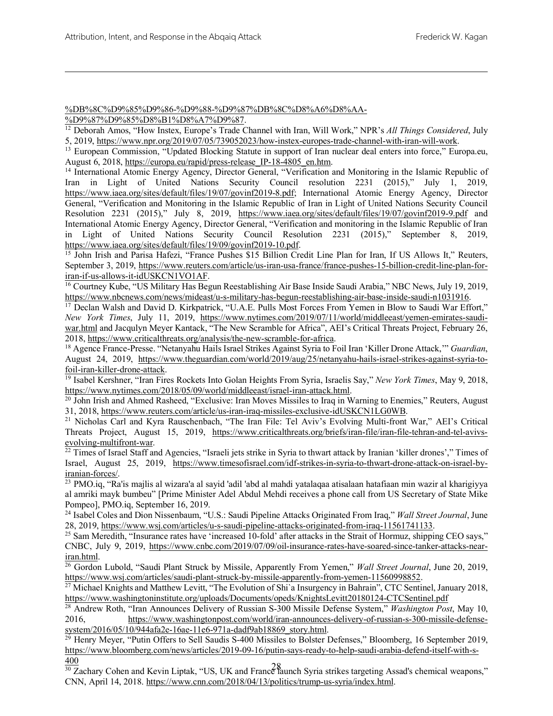### %DB%8C%D9%85%D9%86-%D9%88-%D9%87%DB%8C%D8%A6%D8%AA-

%D9%87%D9%85%D8%B1%D8%A7%D9%87.

 $\overline{a}$ 

<sup>12</sup> Deborah Amos, "How Instex, Europe's Trade Channel with Iran, Will Work," NPR's *All Things Considered*, July 5, 2019, https://www.npr.org/2019/07/05/739052023/how-instex-europes-trade-channel-with-iran-will-work.

<sup>13</sup> European Commission, "Updated Blocking Statute in support of Iran nuclear deal enters into force," Europa.eu, August 6, 2018, https://europa.eu/rapid/press-release IP-18-4805 en.htm.

<sup>14</sup> International Atomic Energy Agency, Director General, "Verification and Monitoring in the Islamic Republic of Iran in Light of United Nations Security Council resolution 2231 (2015)," July 1, 2019, https://www.iaea.org/sites/default/files/19/07/govinf2019-8.pdf; International Atomic Energy Agency, Director General, "Verification and Monitoring in the Islamic Republic of Iran in Light of United Nations Security Council Resolution 2231 (2015)," July 8, 2019, https://www.iaea.org/sites/default/files/19/07/govinf2019-9.pdf and International Atomic Energy Agency, Director General, "Verification and monitoring in the Islamic Republic of Iran in Light of United Nations Security Council Resolution 2231 (2015)," September 8, 2019, https://www.iaea.org/sites/default/files/19/09/govinf2019-10.pdf.

<sup>15</sup> John Irish and Parisa Hafezi, "France Pushes \$15 Billion Credit Line Plan for Iran, If US Allows It." Reuters, September 3, 2019, https://www.reuters.com/article/us-iran-usa-france/france-pushes-15-billion-credit-line-plan-foriran-if-us-allows-it-idUSKCN1VO1AF.

<sup>16</sup> Courtney Kube, "US Military Has Begun Reestablishing Air Base Inside Saudi Arabia," NBC News, July 19, 2019, https://www.nbcnews.com/news/mideast/u-s-military-has-begun-reestablishing-air-base-inside-saudi-n1031916.

<sup>17</sup> Declan Walsh and David D. Kirkpatrick, "U.A.E. Pulls Most Forces From Yemen in Blow to Saudi War Effort," *New York Times*, July 11, 2019, https://www.nytimes.com/2019/07/11/world/middleeast/yemen-emirates-saudiwar.html and Jacqulyn Meyer Kantack, "The New Scramble for Africa", AEI's Critical Threats Project, February 26, 2018, https://www.criticalthreats.org/analysis/the-new-scramble-for-africa.

<sup>18</sup> Agence France-Presse. "Netanyahu Hails Israel Strikes Against Syria to Foil Iran 'Killer Drone Attack,'" *Guardian*, August 24, 2019, https://www.theguardian.com/world/2019/aug/25/netanyahu-hails-israel-strikes-against-syria-tofoil-iran-killer-drone-attack.

<sup>19</sup> Isabel Kershner, "Iran Fires Rockets Into Golan Heights From Syria, Israelis Say," *New York Times*, May 9, 2018, https://www.nytimes.com/2018/05/09/world/middleeast/israel-iran-attack.html.

<sup>20</sup> John Irish and Ahmed Rasheed, "Exclusive: Iran Moves Missiles to Iraq in Warning to Enemies," Reuters, August 31, 2018, https://www.reuters.com/article/us-iran-iraq-missiles-exclusive-idUSKCN1LG0WB.

<sup>21</sup> Nicholas Carl and Kyra Rauschenbach, "The Iran File: Tel Aviv's Evolving Multi-front War," AEI's Critical Threats Project, August 15, 2019, https://www.criticalthreats.org/briefs/iran-file/iran-file-tehran-and-tel-avivsevolving-multifront-war.

 $22$  Times of Israel Staff and Agencies, "Israeli jets strike in Syria to thwart attack by Iranian 'killer drones'," Times of Israel, August 25, 2019, https://www.timesofisrael.com/idf-strikes-in-syria-to-thwart-drone-attack-on-israel-byiranian-forces/.

<sup>23</sup> PMO.iq, "Ra'is majlis al wizara'a al sayid 'adil 'abd al mahdi yatalaqaa atisalaan hatafiaan min wazir al kharigiyya al amriki mayk bumbeu" [Prime Minister Adel Abdul Mehdi receives a phone call from US Secretary of State Mike Pompeo], PMO.iq, September 16, 2019.

<sup>24</sup> Isabel Coles and Dion Nissenbaum, "U.S.: Saudi Pipeline Attacks Originated From Iraq," *Wall Street Journal*, June 28, 2019, https://www.wsj.com/articles/u-s-saudi-pipeline-attacks-originated-from-iraq-11561741133.

<sup>25</sup> Sam Meredith, "Insurance rates have 'increased 10-fold' after attacks in the Strait of Hormuz, shipping CEO says," CNBC, July 9, 2019, https://www.cnbc.com/2019/07/09/oil-insurance-rates-have-soared-since-tanker-attacks-neariran.html.

<sup>26</sup> Gordon Lubold, "Saudi Plant Struck by Missile, Apparently From Yemen," *Wall Street Journal*, June 20, 2019, https://www.wsj.com/articles/saudi-plant-struck-by-missile-apparently-from-yemen-11560998852.

<sup>27</sup> Michael Knights and Matthew Levitt, "The Evolution of Shi'a Insurgency in Bahrain", CTC Sentinel, January 2018, https://www.washingtoninstitute.org/uploads/Documents/opeds/KnightsLevitt20180124-CTCSentinel.pdf

<sup>28</sup> Andrew Roth, "Iran Announces Delivery of Russian S-300 Missile Defense System," *Washington Post*, May 10, 2016, https://www.washingtonpost.com/world/iran-announces-delivery-of-russian-s-300-missile-defensesystem/2016/05/10/944afa2e-16ae-11e6-971a-dadf9ab18869\_story.html.

<sup>29</sup> Henry Meyer, "Putin Offers to Sell Saudis S-400 Missiles to Bolster Defenses," Bloomberg, 16 September 2019, https://www.bloomberg.com/news/articles/2019-09-16/putin-says-ready-to-help-saudi-arabia-defend-itself-with-s-400

 $\frac{280}{30}$  Zachary Cohen and Kevin Liptak, "US, UK and France launch Syria strikes targeting Assad's chemical weapons," CNN, April 14, 2018. https://www.cnn.com/2018/04/13/politics/trump-us-syria/index.html.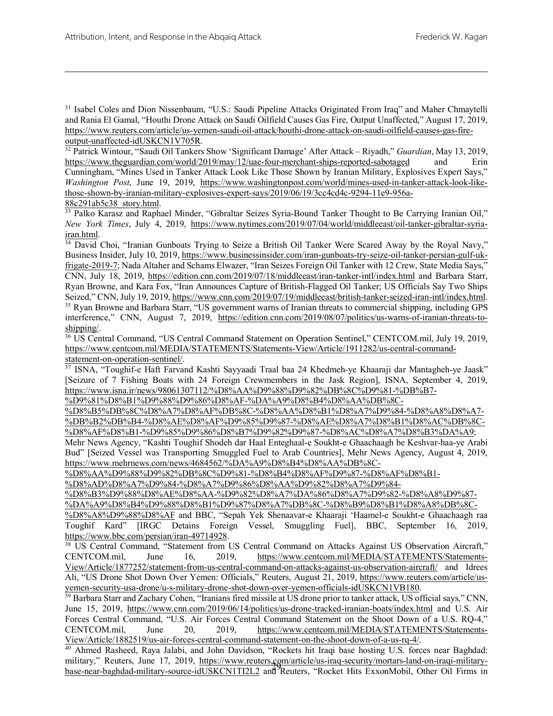<sup>31</sup> Isabel Coles and Dion Nissenbaum, "U.S.: Saudi Pipeline Attacks Originated From Iraq" and Maher Chmaytelli and Rania El Gamal, "Houthi Drone Attack on Saudi Oilfield Causes Gas Fire, Output Unaffected," August 17, 2019, https://www.reuters.com/article/us-yemen-saudi-oil-attack/houthi-drone-attack-on-saudi-oilfield-causes-gas-fireoutput-unaffected-idUSKCN1V705R.

<sup>32</sup> Patrick Wintour, "Saudi Oil Tankers Show 'Significant Damage' After Attack – Riyadh," *Guardian*, May 13, 2019, https://www.theguardian.com/world/2019/may/12/uae-four-merchant-ships-reported-sabotaged and Erin Cunningham, "Mines Used in Tanker Attack Look Like Those Shown by Iranian Military, Explosives Expert Says," *Washington Post*, June 19, 2019, https://www.washingtonpost.com/world/mines-used-in-tanker-attack-look-likethose-shown-by-iranian-military-explosives-expert-says/2019/06/19/3cc4cd4c-9294-11e9-956a-88c291ab5c38\_story.html.

<sup>33</sup> Palko Karasz and Raphael Minder, "Gibraltar Seizes Syria-Bound Tanker Thought to Be Carrying Iranian Oil," *New York Times*, July 4, 2019, https://www.nytimes.com/2019/07/04/world/middleeast/oil-tanker-gibraltar-syriairan.html.

<sup>34</sup> David Choi, "Iranian Gunboats Trying to Seize a British Oil Tanker Were Scared Away by the Royal Navy," Business Insider, July 10, 2019, https://www.businessinsider.com/iran-gunboats-try-seize-oil-tanker-persian-gulf-ukfrigate-2019-7; Nada Altaher and Schams Elwazer, "Iran Seizes Foreign Oil Tanker with 12 Crew, State Media Says," CNN, July 18, 2019, https://edition.cnn.com/2019/07/18/middleeast/iran-tanker-intl/index.html and Barbara Starr, Ryan Browne, and Kara Fox, "Iran Announces Capture of British-Flagged Oil Tanker; US Officials Say Two Ships Seized," CNN, July 19, 2019, https://www.cnn.com/2019/07/19/middleeast/british-tanker-seized-iran-intl/index.html. <sup>35</sup> Ryan Browne and Barbara Starr, "US government warns of Iranian threats to commercial shipping, including GPS interference," CNN, August 7, 2019, https://edition.cnn.com/2019/08/07/politics/us-warns-of-iranian-threats-toshipping/.

<sup>36</sup> US Central Command, "US Central Command Statement on Operation Sentinel," CENTCOM.mil, July 19, 2019, https://www.centcom.mil/MEDIA/STATEMENTS/Statements-View/Article/1911282/us-central-commandstatement-on-operation-sentinel/.

<sup>37</sup> ISNA, "Toughif-e Haft Farvand Kashti Sayyaadi Traal baa 24 Khedmeh-ye Khaaraji dar Mantagheh-ye Jaask" [Seizure of 7 Fishing Boats with 24 Foreign Crewmembers in the Jask Region], ISNA, September 4, 2019, https://www.isna.ir/news/98061307112/%D8%AA%D9%88%D9%82%DB%8C%D9%81-%DB%B7-

%D9%81%D8%B1%D9%88%D9%86%D8%AF-%DA%A9%D8%B4%D8%AA%DB%8C-

%D8%B5%DB%8C%D8%A7%D8%AF%DB%8C-%D8%AA%D8%B1%D8%A7%D9%84-%D8%A8%D8%A7- %DB%B2%DB%B4-%D8%AE%D8%AF%D9%85%D9%87-%D8%AE%D8%A7%D8%B1%D8%AC%DB%8C- %D8%AF%D8%B1-%D9%85%D9%86%D8%B7%D9%82%D9%87-%D8%AC%D8%A7%D8%B3%DA%A9;

Mehr News Agency, "Kashti Toughif Shodeh dar Haal Enteghaal-e Soukht-e Ghaachaagh be Keshvar-haa-ye Arabi Bud" [Seized Vessel was Transporting Smuggled Fuel to Arab Countries], Mehr News Agency, August 4, 2019, https://www.mehrnews.com/news/4684562/%DA%A9%D8%B4%D8%AA%DB%8C-

%D8%AA%D9%88%D9%82%DB%8C%D9%81-%D8%B4%D8%AF%D9%87-%D8%AF%D8%B1-

%D8%AD%D8%A7%D9%84-%D8%A7%D9%86%D8%AA%D9%82%D8%A7%D9%84-

%D8%B3%D9%88%D8%AE%D8%AA-%D9%82%D8%A7%DA%86%D8%A7%D9%82-%D8%A8%D9%87-

%DA%A9%D8%B4%D9%88%D8%B1%D9%87%D8%A7%DB%8C-%D8%B9%D8%B1%D8%A8%DB%8C- %D8%A8%D9%88%D8%AF and BBC, "Sepah Yek Shenaavar-e Khaaraji 'Haamel-e Soukht-e Ghaachaagh raa Toughif Kard" [IRGC Detains Foreign Vessel, Smuggling Fuel], BBC, September 16, 2019, https://www.bbc.com/persian/iran-49714928.

<sup>38</sup> US Central Command, "Statement from US Central Command on Attacks Against US Observation Aircraft," CENTCOM.mil, June 16, 2019, https://www.centcom.mil/MEDIA/STATEMENTS/Statements-View/Article/1877252/statement-from-us-central-command-on-attacks-against-us-observation-aircraft/ and Idrees Ali, "US Drone Shot Down Over Yemen: Officials," Reuters, August 21, 2019, https://www.reuters.com/article/usyemen-security-usa-drone/u-s-military-drone-shot-down-over-yemen-officials-idUSKCN1VB180.

<sup>39</sup> Barbara Starr and Zachary Cohen, "Iranians fired missile at US drone prior to tanker attack, US official says," CNN, June 15, 2019, https://www.cnn.com/2019/06/14/politics/us-drone-tracked-iranian-boats/index.html and U.S. Air Forces Central Command, "U.S. Air Forces Central Command Statement on the Shoot Down of a U.S. RQ-4," CENTCOM.mil, June 20, 2019, https://www.centcom.mil/MEDIA/STATEMENTS/Statements-View/Article/1882519/us-air-forces-central-command-statement-on-the-shoot-down-of-a-us-rq-4/.

himary, Reuters, June 17, 2019, <u>Interstance and Reuters</u>, *and Reuters*, *"Rocket Hits ExxonMobil*, Other Oil Firms in base-near-baghdad-military-source-idUSKCN1TI2L2 and Reuters, "Rocket Hits ExxonMobil, Other Oil Firms <sup>40</sup> Ahmed Rasheed, Raya Jalabi, and John Davidson, "Rockets hit Iraqi base hosting U.S. forces near Baghdad: military," Reuters, June 17, 2019, https://www.reuters.com/article/us-iraq-security/mortars-land-on-iraqi-military-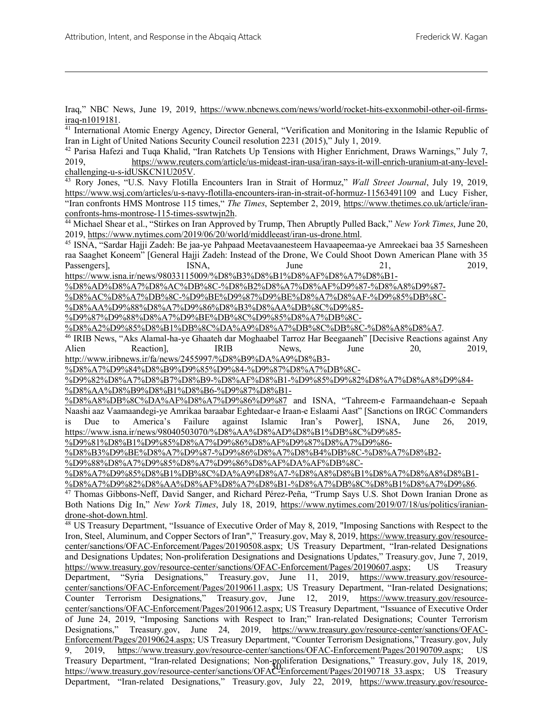Iraq," NBC News, June 19, 2019, https://www.nbcnews.com/news/world/rocket-hits-exxonmobil-other-oil-firmsiraq-n1019181.

<sup>41</sup> International Atomic Energy Agency, Director General, "Verification and Monitoring in the Islamic Republic of Iran in Light of United Nations Security Council resolution 2231 (2015)," July 1, 2019.

<sup>42</sup> Parisa Hafezi and Tuqa Khalid, "Iran Ratchets Up Tensions with Higher Enrichment, Draws Warnings," July 7, 2019, https://www.reuters.com/article/us-mideast-iran-usa/iran-says-it-will-enrich-uranium-at-any-levelchallenging-u-s-idUSKCN1U205V.

<sup>43</sup> Rory Jones, "U.S. Navy Flotilla Encounters Iran in Strait of Hormuz," *Wall Street Journal*, July 19, 2019, https://www.wsj.com/articles/u-s-navy-flotilla-encounters-iran-in-strait-of-hormuz-11563491109 and Lucy Fisher, "Iran confronts HMS Montrose 115 times," *The Times*, September 2, 2019, https://www.thetimes.co.uk/article/iranconfronts-hms-montrose-115-times-sswtwjn2h.

<sup>44</sup> Michael Shear et al., "Stirkes on Iran Approved by Trump, Then Abruptly Pulled Back," *New York Times*, June 20, 2019, https://www.nytimes.com/2019/06/20/world/middleeast/iran-us-drone.html.

<sup>45</sup> ISNA, "Sardar Hajji Zadeh: Be jaa-ye Pahpaad Meetavaanesteem Havaapeemaa-ye Amreekaei baa 35 Sarnesheen raa Saaghet Koneem" [General Hajji Zadeh: Instead of the Drone, We Could Shoot Down American Plane with 35 Passengers], ISNA, June 21, 2019,

https://www.isna.ir/news/98033115009/%D8%B3%D8%B1%D8%AF%D8%A7%D8%B1-

%D8%AD%D8%A7%D8%AC%DB%8C-%D8%B2%D8%A7%D8%AF%D9%87-%D8%A8%D9%87-

%D8%AC%D8%A7%DB%8C-%D9%BE%D9%87%D9%BE%D8%A7%D8%AF-%D9%85%DB%8C-

%D8%AA%D9%88%D8%A7%D9%86%D8%B3%D8%AA%DB%8C%D9%85- %D9%87%D9%88%D8%A7%D9%BE%DB%8C%D9%85%D8%A7%DB%8C-

%D8%A2%D9%85%D8%B1%DB%8C%DA%A9%D8%A7%DB%8C%DB%8C-%D8%A8%D8%A7.

<sup>46</sup> IRIB News, "Aks Alamal-ha-ye Ghaateh dar Moghaabel Tarroz Har Beegaaneh" [Decisive Reactions against Any Alien Reaction], IRIB News, June 20, 2019,

http://www.iribnews.ir/fa/news/2455997/%D8%B9%DA%A9%D8%B3-

%D8%A7%D9%84%D8%B9%D9%85%D9%84-%D9%87%D8%A7%DB%8C-

%D9%82%D8%A7%D8%B7%D8%B9-%D8%AF%D8%B1-%D9%85%D9%82%D8%A7%D8%A8%D9%84- %D8%AA%D8%B9%D8%B1%D8%B6-%D9%87%D8%B1-

%D8%A8%DB%8C%DA%AF%D8%A7%D9%86%D9%87 and ISNA, "Tahreem-e Farmaandehaan-e Sepaah Naashi aaz Vaamaandegi-ye Amrikaa baraabar Eghtedaar-e Iraan-e Eslaami Aast" [Sanctions on IRGC Commanders is Due to America's Failure against Islamic Iran's Power], ISNA, June 26, 2019, https://www.isna.ir/news/98040503070/%D8%AA%D8%AD%D8%B1%DB%8C%D9%85-

%D9%81%D8%B1%D9%85%D8%A7%D9%86%D8%AF%D9%87%D8%A7%D9%86-

%D8%B3%D9%BE%D8%A7%D9%87-%D9%86%D8%A7%D8%B4%DB%8C-%D8%A7%D8%B2-

%D9%88%D8%A7%D9%85%D8%A7%D9%86%D8%AF%DA%AF%DB%8C-

%D8%A7%D9%85%D8%B1%DB%8C%DA%A9%D8%A7-%D8%A8%D8%B1%D8%A7%D8%A8%D8%B1-

%D8%A7%D9%82%D8%AA%D8%AF%D8%A7%D8%B1-%D8%A7%DB%8C%D8%B1%D8%A7%D9%86.

<sup>47</sup> Thomas Gibbons-Neff, David Sanger, and Richard Pérez-Peña, "Trump Says U.S. Shot Down Iranian Drone as Both Nations Dig In," *New York Times*, July 18, 2019, https://www.nytimes.com/2019/07/18/us/politics/iraniandrone-shot-down.html.

11 Eastly Department, Han-Ielated Designations, Non-politiciation Designations, Treasury.gov, 3dry 18, 2019, https://www.treasury.gov/resource-center/sanctions/OFAC-Enforcement/Pages/20190718 33.aspx; US Treasury <sup>48</sup> US Treasury Department, "Issuance of Executive Order of May 8, 2019, "Imposing Sanctions with Respect to the Iron, Steel, Aluminum, and Copper Sectors of Iran"," Treasury.gov, May 8, 2019, https://www.treasury.gov/resourcecenter/sanctions/OFAC-Enforcement/Pages/20190508.aspx; US Treasury Department, "Iran-related Designations and Designations Updates; Non-proliferation Designations and Designations Updates," Treasury.gov, June 7, 2019, https://www.treasury.gov/resource-center/sanctions/OFAC-Enforcement/Pages/20190607.aspx; US Treasury Department, "Syria Designations," Treasury.gov, June 11, 2019, https://www.treasury.gov/resourcecenter/sanctions/OFAC-Enforcement/Pages/20190611.aspx; US Treasury Department, "Iran-related Designations; Counter Terrorism Designations," Treasury.gov, June 12, 2019, https://www.treasury.gov/resourcecenter/sanctions/OFAC-Enforcement/Pages/20190612.aspx; US Treasury Department, "Issuance of Executive Order of June 24, 2019, "Imposing Sanctions with Respect to Iran;" Iran-related Designations; Counter Terrorism Designations," Treasury.gov, June 24, 2019, https://www.treasury.gov/resource-center/sanctions/OFAC-Enforcement/Pages/20190624.aspx; US Treasury Department, "Counter Terrorism Designations," Treasury.gov, July 9, 2019, https://www.treasury.gov/resource-center/sanctions/OFAC-Enforcement/Pages/20190709.aspx; US Treasury Department, "Iran-related Designations; Non-proliferation Designations," Treasury.gov, July 18, 2019, Department, "Iran-related Designations," Treasury.gov, July 22, 2019, https://www.treasury.gov/resource-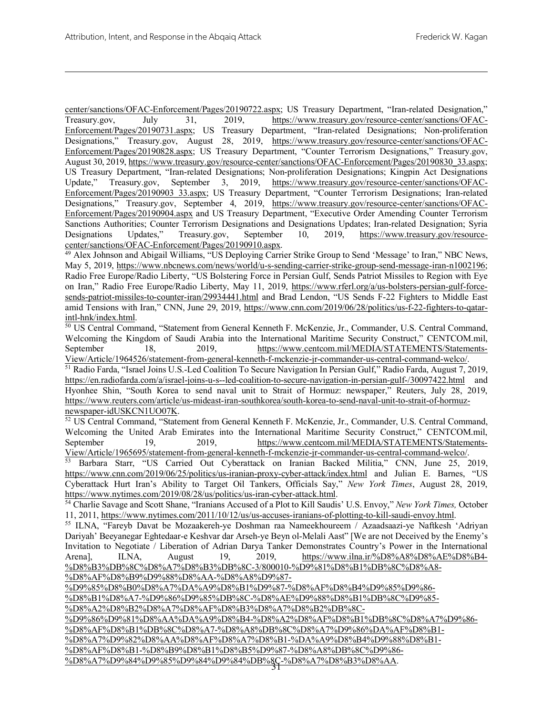center/sanctions/OFAC-Enforcement/Pages/20190722.aspx; US Treasury Department, "Iran-related Designation," Treasury.gov, July 31, 2019, https://www.treasury.gov/resource-center/sanctions/OFAC-Enforcement/Pages/20190731.aspx; US Treasury Department, "Iran-related Designations; Non-proliferation Designations," Treasury.gov, August 28, 2019, https://www.treasury.gov/resource-center/sanctions/OFAC-Enforcement/Pages/20190828.aspx; US Treasury Department, "Counter Terrorism Designations," Treasury.gov, August 30, 2019, https://www.treasury.gov/resource-center/sanctions/OFAC-Enforcement/Pages/20190830\_33.aspx; US Treasury Department, "Iran-related Designations; Non-proliferation Designations; Kingpin Act Designations Update," Treasury.gov, September 3, 2019, https://www.treasury.gov/resource-center/sanctions/OFAC-Enforcement/Pages/20190903\_33.aspx; US Treasury Department, "Counter Terrorism Designations; Iran-related Designations," Treasury.gov, September 4, 2019, https://www.treasury.gov/resource-center/sanctions/OFAC-Enforcement/Pages/20190904.aspx and US Treasury Department, "Executive Order Amending Counter Terrorism Sanctions Authorities; Counter Terrorism Designations and Designations Updates; Iran-related Designation; Syria Designations Updates," Treasury.gov, September 10, 2019, https://www.treasury.gov/resourcecenter/sanctions/OFAC-Enforcement/Pages/20190910.aspx.

<sup>49</sup> Alex Johnson and Abigail Williams, "US Deploying Carrier Strike Group to Send 'Message' to Iran," NBC News, May 5, 2019, https://www.nbcnews.com/news/world/u-s-sending-carrier-strike-group-send-message-iran-n1002196; Radio Free Europe/Radio Liberty, "US Bolstering Force in Persian Gulf, Sends Patriot Missiles to Region with Eye on Iran," Radio Free Europe/Radio Liberty, May 11, 2019, https://www.rferl.org/a/us-bolsters-persian-gulf-forcesends-patriot-missiles-to-counter-iran/29934441.html and Brad Lendon, "US Sends F-22 Fighters to Middle East amid Tensions with Iran," CNN, June 29, 2019, https://www.cnn.com/2019/06/28/politics/us-f-22-fighters-to-qatarintl-hnk/index.html.

<sup>50</sup> US Central Command, "Statement from General Kenneth F. McKenzie, Jr., Commander, U.S. Central Command, Welcoming the Kingdom of Saudi Arabia into the International Maritime Security Construct," CENTCOM.mil, September 18, 2019, https://www.centcom.mil/MEDIA/STATEMENTS/Statements-View/Article/1964526/statement-from-general-kenneth-f-mckenzie-jr-commander-us-central-command-welco/.

<sup>51</sup> Radio Farda, "Israel Joins U.S.-Led Coalition To Secure Navigation In Persian Gulf," Radio Farda, August 7, 2019, https://en.radiofarda.com/a/israel-joins-u-s--led-coalition-to-secure-navigation-in-persian-gulf-/30097422.html and Hyonhee Shin, "South Korea to send naval unit to Strait of Hormuz: newspaper," Reuters, July 28, 2019, https://www.reuters.com/article/us-mideast-iran-southkorea/south-korea-to-send-naval-unit-to-strait-of-hormuznewspaper-idUSKCN1UO07K.

<sup>52</sup> US Central Command, "Statement from General Kenneth F. McKenzie, Jr., Commander, U.S. Central Command, Welcoming the United Arab Emirates into the International Maritime Security Construct," CENTCOM.mil, September 19, 2019, https://www.centcom.mil/MEDIA/STATEMENTS/Statements-

View/Article/1965695/statement-from-general-kenneth-f-mckenzie-jr-commander-us-central-command-welco/. <sup>53</sup> Barbara Starr, "US Carried Out Cyberattack on Iranian Backed Militia," CNN, June 25, 2019, https://www.cnn.com/2019/06/25/politics/us-iranian-proxy-cyber-attack/index.html and Julian E. Barnes, "US Cyberattack Hurt Iran's Ability to Target Oil Tankers, Officials Say," *New York Times*, August 28, 2019, https://www.nytimes.com/2019/08/28/us/politics/us-iran-cyber-attack.html.

<sup>54</sup> Charlie Savage and Scott Shane, "Iranians Accused of a Plot to Kill Saudis' U.S. Envoy," *New York Times,* October 11, 2011, https://www.nytimes.com/2011/10/12/us/us-accuses-iranians-of-plotting-to-kill-saudi-envoy.html.

<sup>55</sup> ILNA, "Fareyb Davat be Mozaakereh-ye Doshman raa Nameekhoureem / Azaadsaazi-ye Naftkesh 'Adriyan Dariyah' Beeyanegar Eghtedaar-e Keshvar dar Arseh-ye Beyn ol-Melali Aast" [We are not Deceived by the Enemy's Invitation to Negotiate / Liberation of Adrian Darya Tanker Demonstrates Country's Power in the International Arena], ILNA, August 19, 2019, https://www.ilna.ir/%D8%A8%D8%AE%D8%B4-%D8%B3%DB%8C%D8%A7%D8%B3%DB%8C-3/800010-%D9%81%D8%B1%DB%8C%D8%A8- %D8%AF%D8%B9%D9%88%D8%AA-%D8%A8%D9%87-

%D9%85%D8%B0%D8%A7%DA%A9%D8%B1%D9%87-%D8%AF%D8%B4%D9%85%D9%86-

%D8%B1%D8%A7-%D9%86%D9%85%DB%8C-%D8%AE%D9%88%D8%B1%DB%8C%D9%85-

%D8%A2%D8%B2%D8%A7%D8%AF%D8%B3%D8%A7%D8%B2%DB%8C-

31 %D8%A7%D9%84%D9%85%D9%84%D9%84%DB%8C-%D8%A7%D8%B3%D8%AA.%D9%86%D9%81%D8%AA%DA%A9%D8%B4-%D8%A2%D8%AF%D8%B1%DB%8C%D8%A7%D9%86- %D8%AF%D8%B1%DB%8C%D8%A7-%D8%A8%DB%8C%D8%A7%D9%86%DA%AF%D8%B1- %D8%A7%D9%82%D8%AA%D8%AF%D8%A7%D8%B1-%DA%A9%D8%B4%D9%88%D8%B1- %D8%AF%D8%B1-%D8%B9%D8%B1%D8%B5%D9%87-%D8%A8%DB%8C%D9%86-